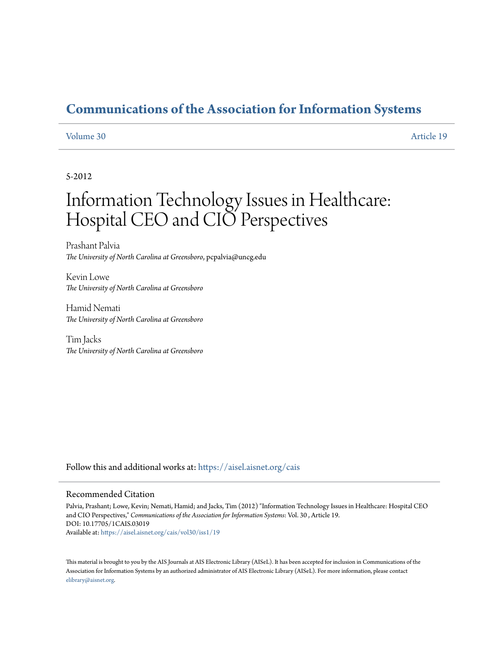### **[Communications of the Association for Information Systems](https://aisel.aisnet.org/cais?utm_source=aisel.aisnet.org%2Fcais%2Fvol30%2Fiss1%2F19&utm_medium=PDF&utm_campaign=PDFCoverPages)**

### [Volume 30](https://aisel.aisnet.org/cais/vol30?utm_source=aisel.aisnet.org%2Fcais%2Fvol30%2Fiss1%2F19&utm_medium=PDF&utm_campaign=PDFCoverPages) [Article 19](https://aisel.aisnet.org/cais/vol30/iss1/19?utm_source=aisel.aisnet.org%2Fcais%2Fvol30%2Fiss1%2F19&utm_medium=PDF&utm_campaign=PDFCoverPages)

### 5-2012

## Information Technology Issues in Healthcare: Hospital CEO and CIO Perspectives

Prashant Palvia *The University of North Carolina at Greensboro*, pcpalvia@uncg.edu

Kevin Lowe *The University of North Carolina at Greensboro*

Hamid Nemati *The University of North Carolina at Greensboro*

Tim Jacks *The University of North Carolina at Greensboro*

Follow this and additional works at: [https://aisel.aisnet.org/cais](https://aisel.aisnet.org/cais?utm_source=aisel.aisnet.org%2Fcais%2Fvol30%2Fiss1%2F19&utm_medium=PDF&utm_campaign=PDFCoverPages)

### Recommended Citation

Palvia, Prashant; Lowe, Kevin; Nemati, Hamid; and Jacks, Tim (2012) "Information Technology Issues in Healthcare: Hospital CEO and CIO Perspectives," *Communications of the Association for Information Systems*: Vol. 30 , Article 19. DOI: 10.17705/1CAIS.03019 Available at: [https://aisel.aisnet.org/cais/vol30/iss1/19](https://aisel.aisnet.org/cais/vol30/iss1/19?utm_source=aisel.aisnet.org%2Fcais%2Fvol30%2Fiss1%2F19&utm_medium=PDF&utm_campaign=PDFCoverPages)

This material is brought to you by the AIS Journals at AIS Electronic Library (AISeL). It has been accepted for inclusion in Communications of the Association for Information Systems by an authorized administrator of AIS Electronic Library (AISeL). For more information, please contact [elibrary@aisnet.org.](mailto:elibrary@aisnet.org%3E)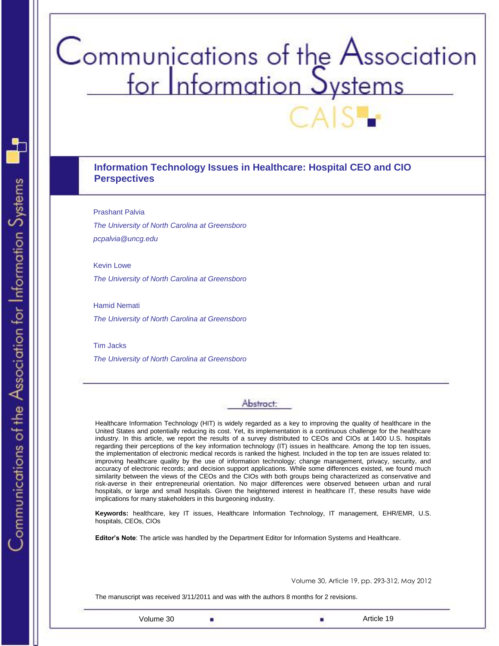# Communications of the Association<br>for Information Systems

### **Information Technology Issues in Healthcare: Hospital CEO and CIO Perspectives**

Prashant Palvia

*The University of North Carolina at Greensboro pcpalvia@uncg.edu*

Kevin Lowe

*The University of North Carolina at Greensboro*

Hamid Nemati *The University of North Carolina at Greensboro*

Tim Jacks *The University of North Carolina at Greensboro*

Abstract:

Healthcare Information Technology (HIT) is widely regarded as a key to improving the quality of healthcare in the United States and potentially reducing its cost. Yet, its implementation is a continuous challenge for the healthcare industry. In this article, we report the results of a survey distributed to CEOs and CIOs at 1400 U.S. hospitals regarding their perceptions of the key information technology (IT) issues in healthcare. Among the top ten issues, the implementation of electronic medical records is ranked the highest. Included in the top ten are issues related to: improving healthcare quality by the use of information technology; change management, privacy, security, and accuracy of electronic records; and decision support applications. While some differences existed, we found much similarity between the views of the CEOs and the CIOs with both groups being characterized as conservative and risk-averse in their entrepreneurial orientation. No major differences were observed between urban and rural hospitals, or large and small hospitals. Given the heightened interest in healthcare IT, these results have wide implications for many stakeholders in this burgeoning industry.

**Keywords:** healthcare, key IT issues, Healthcare Information Technology, IT management, EHR/EMR, U.S. hospitals, CEOs, CIOs

**Editor's Note**: The article was handled by the Department Editor for Information Systems and Healthcare.

Volume 30, Article 19, pp. 293-312, May 2012

The manuscript was received 3/11/2011 and was with the authors 8 months for 2 revisions.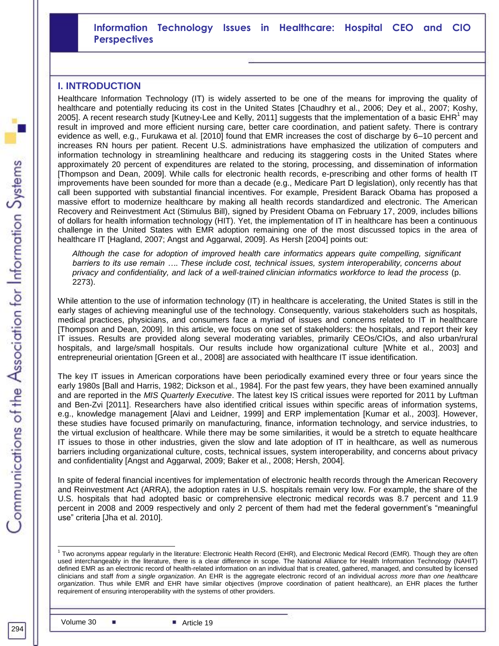

### **I. INTRODUCTION**

Healthcare Information Technology (IT) is widely asserted to be one of the means for improving the quality of healthcare and potentially reducing its cost in the United States [Chaudhry et al., 2006; Dey et al., 2007; Koshy, 2005]. A recent research study [Kutney-Lee and Kelly, 2011] suggests that the implementation of a basic  $EHR<sup>1</sup>$  may result in improved and more efficient nursing care, better care coordination, and patient safety. There is contrary evidence as well, e.g., Furukawa et al. [2010] found that EMR increases the cost of discharge by 6–10 percent and increases RN hours per patient. Recent U.S. administrations have emphasized the utilization of computers and information technology in streamlining healthcare and reducing its staggering costs in the United States where approximately 20 percent of expenditures are related to the storing, processing, and dissemination of information [Thompson and Dean, 2009]. While calls for electronic health records, e-prescribing and other forms of health IT improvements have been sounded for more than a decade (e.g., Medicare Part D legislation), only recently has that call been supported with substantial financial incentives. For example, President Barack Obama has proposed a massive effort to modernize healthcare by making all health records standardized and electronic. The American Recovery and Reinvestment Act (Stimulus Bill), signed by President Obama on February 17, 2009, includes billions of dollars for health information technology (HIT). Yet, the implementation of IT in healthcare has been a continuous challenge in the United States with EMR adoption remaining one of the most discussed topics in the area of healthcare IT [Hagland, 2007; Angst and Aggarwal, 2009]. As Hersh [2004] points out:

*Although the case for adoption of improved health care informatics appears quite compelling, significant barriers to its use remain …. These include cost, technical issues, system interoperability, concerns about privacy and confidentiality, and lack of a well-trained clinician informatics workforce to lead the process* (p. 2273).

While attention to the use of information technology (IT) in healthcare is accelerating, the United States is still in the early stages of achieving meaningful use of the technology. Consequently, various stakeholders such as hospitals, medical practices, physicians, and consumers face a myriad of issues and concerns related to IT in healthcare [Thompson and Dean, 2009]. In this article, we focus on one set of stakeholders: the hospitals, and report their key IT issues. Results are provided along several moderating variables, primarily CEOs/CIOs, and also urban/rural hospitals, and large/small hospitals. Our results include how organizational culture [White et al., 2003] and entrepreneurial orientation [Green et al., 2008] are associated with healthcare IT issue identification.

The key IT issues in American corporations have been periodically examined every three or four years since the early 1980s [Ball and Harris, 1982; Dickson et al., 1984]. For the past few years, they have been examined annually and are reported in the *MIS Quarterly Executive*. The latest key IS critical issues were reported for 2011 by Luftman and Ben-Zvi [2011]. Researchers have also identified critical issues within specific areas of information systems, e.g., knowledge management [Alavi and Leidner, 1999] and ERP implementation [Kumar et al., 2003]. However, these studies have focused primarily on manufacturing, finance, information technology, and service industries, to the virtual exclusion of healthcare. While there may be some similarities, it would be a stretch to equate healthcare IT issues to those in other industries, given the slow and late adoption of IT in healthcare, as well as numerous barriers including organizational culture, costs, technical issues, system interoperability, and concerns about privacy and confidentiality [Angst and Aggarwal, 2009; Baker et al., 2008; Hersh, 2004].

In spite of federal financial incentives for implementation of electronic health records through the American Recovery and Reinvestment Act (ARRA), the adoption rates in U.S. hospitals remain very low. For example, the share of the U.S. hospitals that had adopted basic or comprehensive electronic medical records was 8.7 percent and 11.9 percent in 2008 and 2009 respectively and only 2 percent of them had met the federal government's "meaningful use" criteria [Jha et al. 2010].

l

Information, the eppendic grading in the interaction Technology Issues in Centry, the Economic Income (Emily, the grading theories in the literature, there is a clear difference in scope. The National Alliance for Health I derined EMR as an electronic record or nealth-related information on an individual that is created, gathered, managed, and consulted by licensed<br>clinicians and staff *from a single organization*. An EHR is the aggregate el <sup>1</sup> Two acronyms appear regularly in the literature: Electronic Health Record (EHR), and Electronic Medical Record (EMR). Though they are often defined EMR as an electronic record of health-related information on an individual that is created, gathered, managed, and consulted by licensed *organization*. Thus while EMR and EHR have similar objectives (improve coordination of patient healthcare), an EHR places the further requirement of ensuring interoperability with the systems of other providers.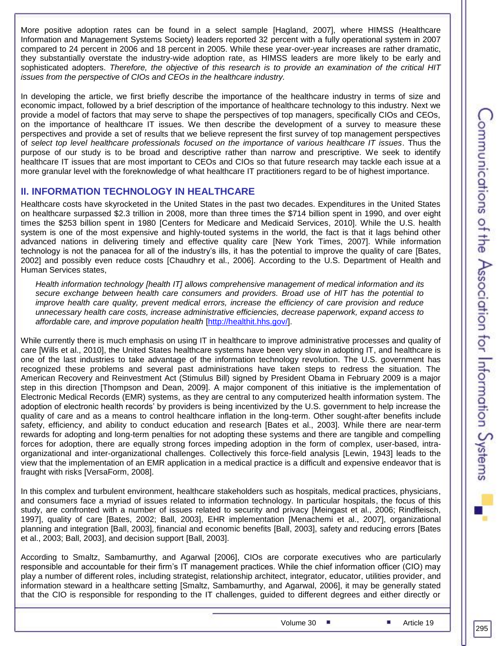More positive adoption rates can be found in a select sample [Hagland, 2007], where HIMSS (Healthcare Information and Management Systems Society) leaders reported 32 percent with a fully operational system in 2007 compared to 24 percent in 2006 and 18 percent in 2005. While these year-over-year increases are rather dramatic, they substantially overstate the industry-wide adoption rate, as HIMSS leaders are more likely to be early and sophisticated adopters. *Therefore, the objective of this research is to provide an examination of the critical HIT issues from the perspective of CIOs and CEOs in the healthcare industry.*

In developing the article, we first briefly describe the importance of the healthcare industry in terms of size and economic impact, followed by a brief description of the importance of healthcare technology to this industry. Next we provide a model of factors that may serve to shape the perspectives of top managers, specifically CIOs and CEOs, on the importance of healthcare IT issues. We then describe the development of a survey to measure these perspectives and provide a set of results that we believe represent the first survey of top management perspectives of *select top level healthcare professionals focused on the importance of various healthcare IT issues*. Thus the purpose of our study is to be broad and descriptive rather than narrow and prescriptive. We seek to identify healthcare IT issues that are most important to CEOs and CIOs so that future research may tackle each issue at a more granular level with the foreknowledge of what healthcare IT practitioners regard to be of highest importance.

### **II. INFORMATION TECHNOLOGY IN HEALTHCARE**

Healthcare costs have skyrocketed in the United States in the past two decades. Expenditures in the United States on healthcare surpassed \$2.3 trillion in 2008, more than three times the \$714 billion spent in 1990, and over eight times the \$253 billion spent in 1980 [Centers for Medicare and Medicaid Services, 2010]. While the U.S. health system is one of the most expensive and highly-touted systems in the world, the fact is that it lags behind other advanced nations in delivering timely and effective quality care [New York Times, 2007]. While information technology is not the panacea for all of the industry's ills, it has the potential to improve the quality of care [Bates, 2002] and possibly even reduce costs [Chaudhry et al., 2006]. According to the U.S. Department of Health and Human Services states,

*Health information technology [health IT] allows comprehensive management of medical information and its secure exchange between health care consumers and providers. Broad use of HIT has the potential to improve health care quality, prevent medical errors, increase the efficiency of care provision and reduce unnecessary health care costs, increase administrative efficiencies, decrease paperwork, expand access to affordable care, and improve population health* [\[http://healthit.hhs.gov/\]](http://healthit.hhs.gov/).

While currently there is much emphasis on using IT in healthcare to improve administrative processes and quality of care [Wills et al., 2010], the United States healthcare systems have been very slow in adopting IT, and healthcare is one of the last industries to take advantage of the information technology revolution. The U.S. government has recognized these problems and several past administrations have taken steps to redress the situation. The American Recovery and Reinvestment Act (Stimulus Bill) signed by President Obama in February 2009 is a major step in this direction [Thompson and Dean, 2009]. A major component of this initiative is the implementation of Electronic Medical Records (EMR) systems, as they are central to any computerized health information system. The adoption of electronic health records' by providers is being incentivized by the U.S. government to help increase the quality of care and as a means to control healthcare inflation in the long-term. Other sought-after benefits include safety, efficiency, and ability to conduct education and research [Bates et al., 2003]. While there are near-term rewards for adopting and long-term penalties for not adopting these systems and there are tangible and compelling forces for adoption, there are equally strong forces impeding adoption in the form of complex, user-based, intraorganizational and inter-organizational challenges. Collectively this force-field analysis [Lewin, 1943] leads to the view that the implementation of an EMR application in a medical practice is a difficult and expensive endeavor that is fraught with risks [VersaForm, 2008].

In this complex and turbulent environment, healthcare stakeholders such as hospitals, medical practices, physicians, and consumers face a myriad of issues related to information technology. In particular hospitals, the focus of this study, are confronted with a number of issues related to security and privacy [Meingast et al., 2006; Rindfleisch, 1997], quality of care [Bates, 2002; Ball, 2003], EHR implementation [Menachemi et al., 2007], organizational planning and integration [Ball, 2003], financial and economic benefits [Ball, 2003], safety and reducing errors [Bates et al., 2003; Ball, 2003], and decision support [Ball, 2003].

According to Smaltz, Sambamurthy, and Agarwal [2006], CIOs are corporate executives who are particularly responsible and accountable for their firm's IT management practices. While the chief information officer (CIO) may play a number of different roles, including strategist, relationship architect, integrator, educator, utilities provider, and information steward in a healthcare setting [Smaltz, Sambamurthy, and Agarwal, 2006], it may be generally stated that the CIO is responsible for responding to the IT challenges, guided to different degrees and either directly or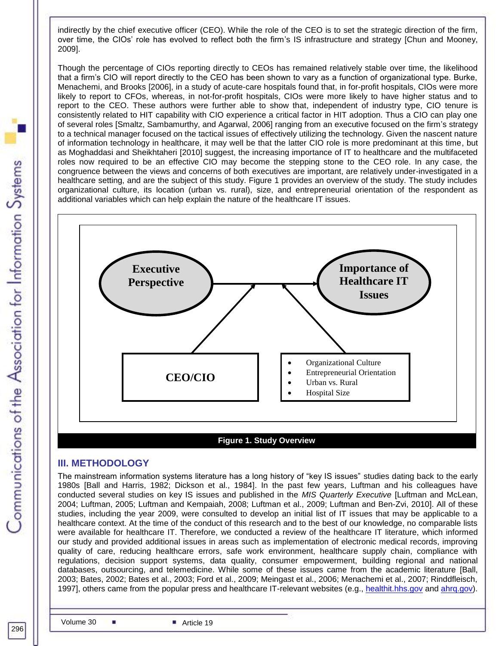indirectly by the chief executive officer (CEO). While the role of the CEO is to set the strategic direction of the firm, over time, the CIOs' role has evolved to reflect both the firm's IS infrastructure and strategy [Chun and Mooney, 2009].

Though the percentage of CIOs reporting directly to CEOs has remained relatively stable over time, the likelihood that a firm's CIO will report directly to the CEO has been shown to vary as a function of organizational type. Burke, Menachemi, and Brooks [2006], in a study of acute-care hospitals found that, in for-profit hospitals, CIOs were more likely to report to CFOs, whereas, in not-for-profit hospitals, CIOs were more likely to have higher status and to report to the CEO. These authors were further able to show that, independent of industry type, CIO tenure is consistently related to HIT capability with CIO experience a critical factor in HIT adoption. Thus a CIO can play one of several roles [Smaltz, Sambamurthy, and Agarwal, 2006] ranging from an executive focused on the firm's strategy to a technical manager focused on the tactical issues of effectively utilizing the technology. Given the nascent nature of information technology in healthcare, it may well be that the latter CIO role is more predominant at this time, but as Moghaddasi and Sheikhtaheri [2010] suggest, the increasing importance of IT to healthcare and the multifaceted roles now required to be an effective CIO may become the stepping stone to the CEO role. In any case, the congruence between the views and concerns of both executives are important, are relatively under-investigated in a healthcare setting, and are the subject of this study. Figure 1 provides an overview of the study. The study includes organizational culture, its location (urban vs. rural), size, and entrepreneurial orientation of the respondent as additional variables which can help explain the nature of the healthcare IT issues.



### **III. METHODOLOGY**

The mainstream information systems literature has a long history of "key IS issues" studies dating back to the early 1980s [Ball and Harris, 1982; Dickson et al., 1984]. In the past few years, Luftman and his colleagues have conducted several studies on key IS issues and published in the *MIS Quarterly Executive* [Luftman and McLean, 2004; Luftman, 2005; Luftman and Kempaiah, 2008; Luftman et al., 2009; Luftman and Ben-Zvi, 2010]. All of these studies, including the year 2009, were consulted to develop an initial list of IT issues that may be applicable to a healthcare context. At the time of the conduct of this research and to the best of our knowledge, no comparable lists were available for healthcare IT. Therefore, we conducted a review of the healthcare IT literature, which informed our study and provided additional issues in areas such as implementation of electronic medical records, improving quality of care, reducing healthcare errors, safe work environment, healthcare supply chain, compliance with regulations, decision support systems, data quality, consumer empowerment, building regional and national databases, outsourcing, and telemedicine. While some of these issues came from the academic literature [Ball, 2003; Bates, 2002; Bates et al., 2003; Ford et al., 2009; Meingast et al., 2006; Menachemi et al., 2007; Rinddfleisch, 1997], others came from the popular press and healthcare IT-relevant websites (e.g., [healthit.hhs.gov](http://healthit.hhs.gov/) and [ahrq.gov\)](http://ahrq.gov/).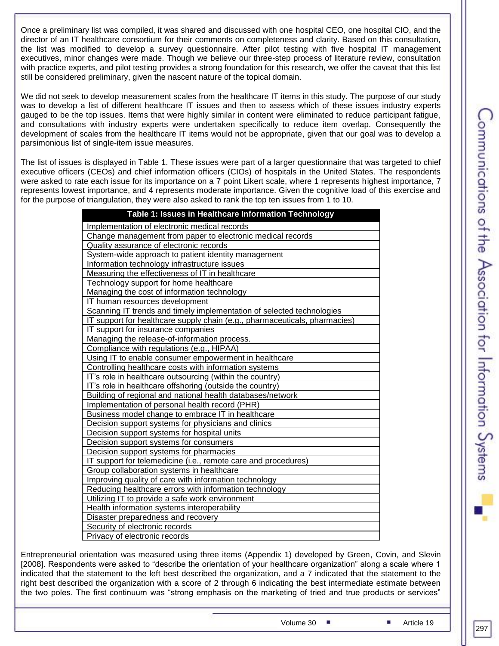Once a preliminary list was compiled, it was shared and discussed with one hospital CEO, one hospital CIO, and the director of an IT healthcare consortium for their comments on completeness and clarity. Based on this consultation, the list was modified to develop a survey questionnaire. After pilot testing with five hospital IT management executives, minor changes were made. Though we believe our three-step process of literature review, consultation with practice experts, and pilot testing provides a strong foundation for this research, we offer the caveat that this list still be considered preliminary, given the nascent nature of the topical domain.

We did not seek to develop measurement scales from the healthcare IT items in this study. The purpose of our study was to develop a list of different healthcare IT issues and then to assess which of these issues industry experts gauged to be the top issues. Items that were highly similar in content were eliminated to reduce participant fatigue, and consultations with industry experts were undertaken specifically to reduce item overlap. Consequently the development of scales from the healthcare IT items would not be appropriate, given that our goal was to develop a parsimonious list of single-item issue measures.

The list of issues is displayed in Table 1. These issues were part of a larger questionnaire that was targeted to chief executive officers (CEOs) and chief information officers (CIOs) of hospitals in the United States. The respondents were asked to rate each issue for its importance on a 7 point Likert scale, where 1 represents highest importance, 7 represents lowest importance, and 4 represents moderate importance. Given the cognitive load of this exercise and for the purpose of triangulation, they were also asked to rank the top ten issues from 1 to 10.

| Table 1: Issues in Healthcare Information Technology                       |
|----------------------------------------------------------------------------|
| Implementation of electronic medical records                               |
| Change management from paper to electronic medical records                 |
| Quality assurance of electronic records                                    |
| System-wide approach to patient identity management                        |
| Information technology infrastructure issues                               |
| Measuring the effectiveness of IT in healthcare                            |
| Technology support for home healthcare                                     |
| Managing the cost of information technology                                |
| IT human resources development                                             |
| Scanning IT trends and timely implementation of selected technologies      |
| IT support for healthcare supply chain (e.g., pharmaceuticals, pharmacies) |
| IT support for insurance companies                                         |
| Managing the release-of-information process.                               |
| Compliance with regulations (e.g., HIPAA)                                  |
| Using IT to enable consumer empowerment in healthcare                      |
| Controlling healthcare costs with information systems                      |
| IT's role in healthcare outsourcing (within the country)                   |
| IT's role in healthcare offshoring (outside the country)                   |
| Building of regional and national health databases/network                 |
| Implementation of personal health record (PHR)                             |
| Business model change to embrace IT in healthcare                          |
| Decision support systems for physicians and clinics                        |
| Decision support systems for hospital units                                |
| Decision support systems for consumers                                     |
| Decision support systems for pharmacies                                    |
| IT support for telemedicine (i.e., remote care and procedures)             |
| Group collaboration systems in healthcare                                  |
| Improving quality of care with information technology                      |
| Reducing healthcare errors with information technology                     |
| Utilizing IT to provide a safe work environment                            |
| Health information systems interoperability                                |
| Disaster preparedness and recovery                                         |
| Security of electronic records                                             |
| Privacy of electronic records                                              |

Entrepreneurial orientation was measured using three items (Appendix 1) developed by Green, Covin, and Slevin [2008]. Respondents were asked to "describe the orientation of your healthcare organization" along a scale where 1 indicated that the statement to the left best described the organization, and a 7 indicated that the statement to the right best described the organization with a score of 2 through 6 indicating the best intermediate estimate between the two poles. The first continuum was "strong emphasis on the marketing of tried and true products or services"

Volume 30 **Article 19**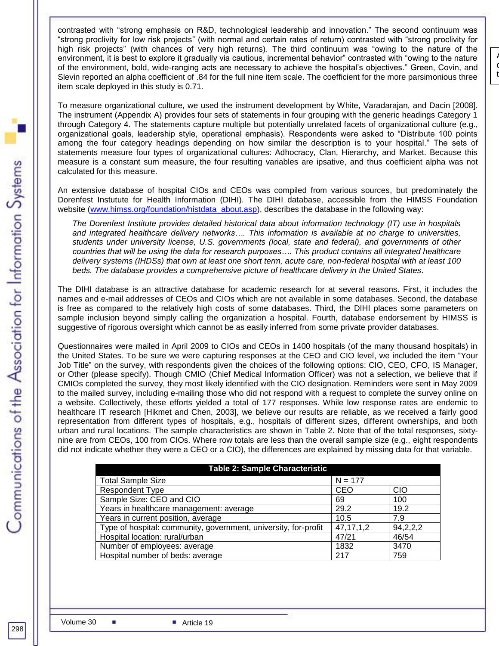$\prime$  $\mathsf c$ t

contrasted with "strong emphasis on R&D, technological leadership and innovation." The second continuum was "strong proclivity for low risk projects" (with normal and certain rates of return) contrasted with "strong proclivity for high risk projects" (with chances of very high returns). The third continuum was "owing to the nature of the environment, it is best to explore it gradually via cautious, incremental behavior" contrasted with "owing to the nature of the environment, bold, wide-ranging acts are necessary to achieve the hospital's objectives." Green, Covin, and Slevin reported an alpha coefficient of .84 for the full nine item scale. The coefficient for the more parsimonious three item scale deployed in this study is 0.71.

To measure organizational culture, we used the instrument development by White, Varadarajan, and Dacin [2008]. The instrument (Appendix A) provides four sets of statements in four grouping with the generic headings Category 1 through Category 4. The statements capture multiple but potentially unrelated facets of organizational culture (e.g., organizational goals, leadership style, operational emphasis). Respondents were asked to "Distribute 100 points among the four category headings depending on how similar the description is to your hospital." The sets of statements measure four types of organizational cultures: Adhocracy, Clan, Hierarchy, and Market. Because this measure is a constant sum measure, the four resulting variables are ipsative, and thus coefficient alpha was not calculated for this measure.

An extensive database of hospital CIOs and CEOs was compiled from various sources, but predominately the Dorenfest Instutute for Health Information (DIHI). The DIHI database, accessible from the HIMSS Foundation website [\(www.himss.org/foundation/histdata\\_about.asp\)](../../../AppData/Local/from%20CE/www.himss.org/foundation/histdata_about.asp), describes the database in the following way:

*The Dorenfest Institute provides detailed historical data about information technology (IT) use in hospitals and integrated healthcare delivery networks…. This information is available at no charge to universities, students under university license, U.S. governments (local, state and federal), and governments of other countries that will be using the data for research purposes…. This product contains all integrated healthcare delivery systems (IHDSs) that own at least one short term, acute care, non-federal hospital with at least 100 beds. The database provides a comprehensive picture of healthcare delivery in the United States.*

The DIHI database is an attractive database for academic research for at several reasons. First, it includes the names and e-mail addresses of CEOs and CIOs which are not available in some databases. Second, the database is free as compared to the relatively high costs of some databases. Third, the DIHI places some parameters on sample inclusion beyond simply calling the organization a hospital. Fourth, database endorsement by HIMSS is suggestive of rigorous oversight which cannot be as easily inferred from some private provider databases.

Questionnaires were mailed in April 2009 to CIOs and CEOs in 1400 hospitals (of the many thousand hospitals) in the United States. To be sure we were capturing responses at the CEO and CIO level, we included the item "Your Job Title" on the survey, with respondents given the choices of the following options: CIO, CEO, CFO, IS Manager, or Other (please specify). Though CMIO (Chief Medical Information Officer) was not a selection, we believe that if CMIOs completed the survey, they most likely identified with the CIO designation. Reminders were sent in May 2009 to the mailed survey, including e-mailing those who did not respond with a request to complete the survey online on a website. Collectively, these efforts yielded a total of 177 responses. While low response rates are endemic to healthcare IT research [Hikmet and Chen, 2003], we believe our results are reliable, as we received a fairly good representation from different types of hospitals, e.g., hospitals of different sizes, different ownerships, and both urban and rural locations. The sample characteristics are shown in Table 2. Note that of the total responses, sixtynine are from CEOs, 100 from CIOs. Where row totals are less than the overall sample size (e.g., eight respondents did not indicate whether they were a CEO or a CIO), the differences are explained by missing data for that variable.

| <b>Table 2: Sample Characteristic</b>                           |              |          |  |  |
|-----------------------------------------------------------------|--------------|----------|--|--|
| <b>Total Sample Size</b>                                        | $N = 177$    |          |  |  |
| <b>Respondent Type</b>                                          | CEO          | CIO      |  |  |
| Sample Size: CEO and CIO                                        | 69           | 100      |  |  |
| Years in healthcare management: average                         | 29.2         | 19.2     |  |  |
| Years in current position, average                              | 10.5         | 7.9      |  |  |
| Type of hospital: community, government, university, for-profit | 47, 17, 1, 2 | 94,2,2,2 |  |  |
| Hospital location: rural/urban                                  | 47/21        | 46/54    |  |  |
| Number of employees: average                                    | 1832         | 3470     |  |  |
| Hospital number of beds: average                                | 217          | 759      |  |  |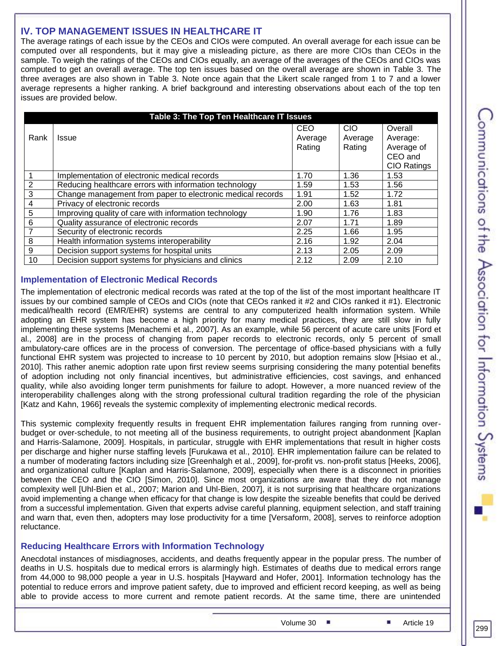# communications of the Association for Information Oystems

### **IV. TOP MANAGEMENT ISSUES IN HEALTHCARE IT**

The average ratings of each issue by the CEOs and CIOs were computed. An overall average for each issue can be computed over all respondents, but it may give a misleading picture, as there are more CIOs than CEOs in the sample. To weigh the ratings of the CEOs and CIOs equally, an average of the averages of the CEOs and CIOs was computed to get an overall average. The top ten issues based on the overall average are shown in Table 3. The three averages are also shown in Table 3. Note once again that the Likert scale ranged from 1 to 7 and a lower average represents a higher ranking. A brief background and interesting observations about each of the top ten issues are provided below.

|      | Table 3: The Top Ten Healthcare IT Issues                  |                          |                                 |                                                                    |  |  |
|------|------------------------------------------------------------|--------------------------|---------------------------------|--------------------------------------------------------------------|--|--|
| Rank | Issue                                                      | CEO<br>Average<br>Rating | <b>CIO</b><br>Average<br>Rating | Overall<br>Average:<br>Average of<br>CEO and<br><b>CIO Ratings</b> |  |  |
|      | Implementation of electronic medical records               | 1.70                     | 1.36                            | 1.53                                                               |  |  |
| 2    | Reducing healthcare errors with information technology     | 1.59                     | 1.53                            | 1.56                                                               |  |  |
| 3    | Change management from paper to electronic medical records | 1.91                     | 1.52                            | 1.72                                                               |  |  |
| 4    | Privacy of electronic records                              | 2.00                     | 1.63                            | 1.81                                                               |  |  |
| 5    | Improving quality of care with information technology      | 1.90                     | 1.76                            | 1.83                                                               |  |  |
| 6    | Quality assurance of electronic records                    | 2.07                     | 1.71                            | 1.89                                                               |  |  |
|      | Security of electronic records                             | 2.25                     | 1.66                            | 1.95                                                               |  |  |
| 8    | Health information systems interoperability                | 2.16                     | 1.92                            | 2.04                                                               |  |  |
| 9    | Decision support systems for hospital units                | 2.13                     | 2.05                            | 2.09                                                               |  |  |
| 10   | Decision support systems for physicians and clinics        | 2.12                     | 2.09                            | 2.10                                                               |  |  |

### **Implementation of Electronic Medical Records**

The implementation of electronic medical records was rated at the top of the list of the most important healthcare IT issues by our combined sample of CEOs and CIOs (note that CEOs ranked it #2 and CIOs ranked it #1). Electronic medical/health record (EMR/EHR) systems are central to any computerized health information system. While adopting an EHR system has become a high priority for many medical practices, they are still slow in fully implementing these systems [Menachemi et al., 2007]. As an example, while 56 percent of acute care units [Ford et al., 2008] are in the process of changing from paper records to electronic records, only 5 percent of small ambulatory-care offices are in the process of conversion. The percentage of office-based physicians with a fully functional EHR system was projected to increase to 10 percent by 2010, but adoption remains slow [Hsiao et al., 2010]. This rather anemic adoption rate upon first review seems surprising considering the many potential benefits of adoption including not only financial incentives, but administrative efficiencies, cost savings, and enhanced quality, while also avoiding longer term punishments for failure to adopt. However, a more nuanced review of the interoperability challenges along with the strong professional cultural tradition regarding the role of the physician [Katz and Kahn, 1966] reveals the systemic complexity of implementing electronic medical records.

This systemic complexity frequently results in frequent EHR implementation failures ranging from running overbudget or over-schedule, to not meeting all of the business requirements, to outright project abandonment [Kaplan and Harris-Salamone, 2009]. Hospitals, in particular, struggle with EHR implementations that result in higher costs per discharge and higher nurse staffing levels [Furukawa et al., 2010]. EHR implementation failure can be related to a number of moderating factors including size [Greenhalgh et al., 2009], for-profit vs. non-profit status [Heeks, 2006], and organizational culture [Kaplan and Harris-Salamone, 2009], especially when there is a disconnect in priorities between the CEO and the CIO [Simon, 2010]. Since most organizations are aware that they do not manage complexity well [Uhl-Bien et al., 2007; Marion and Uhl-Bien, 2007], it is not surprising that healthcare organizations avoid implementing a change when efficacy for that change is low despite the sizeable benefits that could be derived from a successful implementation. Given that experts advise careful planning, equipment selection, and staff training and warn that, even then, adopters may lose productivity for a time [Versaform, 2008], serves to reinforce adoption reluctance.

### **Reducing Healthcare Errors with Information Technology**

Anecdotal instances of misdiagnoses, accidents, and deaths frequently appear in the popular press. The number of deaths in U.S. hospitals due to medical errors is alarmingly high. Estimates of deaths due to medical errors range from 44,000 to 98,000 people a year in U.S. hospitals [Hayward and Hofer, 2001]. Information technology has the potential to reduce errors and improve patient safety, due to improved and efficient record keeping, as well as being able to provide access to more current and remote patient records. At the same time, there are unintended

299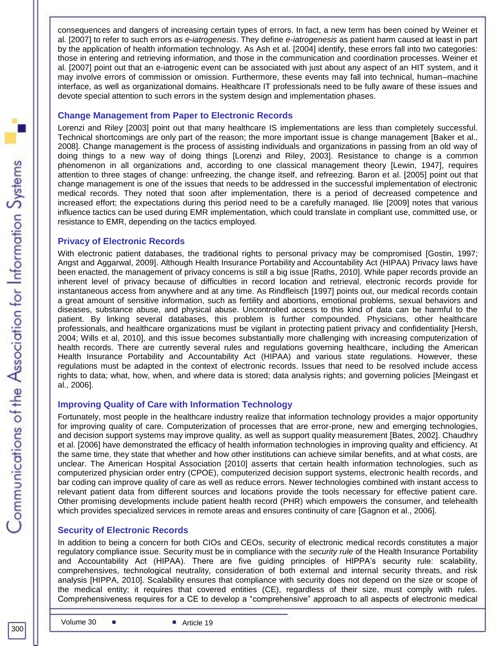consequences and dangers of increasing certain types of errors. In fact, a new term has been coined by Weiner et al. [2007] to refer to such errors as *e-iatrogenesis*. They define *e-iatrogenesis* as patient harm caused at least in part by the application of health information technology. As Ash et al. [2004] identify, these errors fall into two categories: those in entering and retrieving information, and those in the communication and coordination processes. Weiner et al. [2007] point out that an e-iatrogenic event can be associated with just about any aspect of an HIT system, and it may involve errors of commission or omission. Furthermore, these events may fall into technical, human–machine interface, as well as organizational domains. Healthcare IT professionals need to be fully aware of these issues and devote special attention to such errors in the system design and implementation phases.

### **Change Management from Paper to Electronic Records**

Lorenzi and Riley [2003] point out that many healthcare IS implementations are less than completely successful. Technical shortcomings are only part of the reason; the more important issue is change management [Baker et al., 2008]. Change management is the process of assisting individuals and organizations in passing from an old way of doing things to a new way of doing things [Lorenzi and Riley, 2003]. Resistance to change is a common phenomenon in all organizations and, according to one classical management theory [Lewin, 1947], requires attention to three stages of change: unfreezing, the change itself, and refreezing. Baron et al. [2005] point out that change management is one of the issues that needs to be addressed in the successful implementation of electronic medical records. They noted that soon after implementation, there is a period of decreased competence and increased effort; the expectations during this period need to be a carefully managed. Ilie [2009] notes that various influence tactics can be used during EMR implementation, which could translate in compliant use, committed use, or resistance to EMR, depending on the tactics employed.

### **Privacy of Electronic Records**

With electronic patient databases, the traditional rights to personal privacy may be compromised [Gostin, 1997; Angst and Aggarwal, 2009]. Although Health Insurance Portability and Accountability Act (HIPAA) Privacy laws have been enacted, the management of privacy concerns is still a big issue [Raths, 2010]. While paper records provide an inherent level of privacy because of difficulties in record location and retrieval, electronic records provide for instantaneous access from anywhere and at any time. As Rindfleisch [1997] points out, our medical records contain a great amount of sensitive information, such as fertility and abortions, emotional problems, sexual behaviors and diseases, substance abuse, and physical abuse. Uncontrolled access to this kind of data can be harmful to the patient. By linking several databases, this problem is further compounded. Physicians, other healthcare professionals, and healthcare organizations must be vigilant in protecting patient privacy and confidentiality [Hersh, 2004; Wills et al, 2010], and this issue becomes substantially more challenging with increasing computerization of health records. There are currently several rules and regulations governing healthcare, including the American Health Insurance Portability and Accountability Act (HIPAA) and various state regulations. However, these regulations must be adapted in the context of electronic records. Issues that need to be resolved include access rights to data; what, how, when, and where data is stored; data analysis rights; and governing policies [Meingast et al., 2006].

### **Improving Quality of Care with Information Technology**

Fortunately, most people in the healthcare industry realize that information technology provides a major opportunity for improving quality of care. Computerization of processes that are error-prone, new and emerging technologies, and decision support systems may improve quality, as well as support quality measurement [Bates, 2002]. Chaudhry et al. [2006] have demonstrated the efficacy of health information technologies in improving quality and efficiency. At the same time, they state that whether and how other institutions can achieve similar benefits, and at what costs, are unclear. The American Hospital Association [2010] asserts that certain health information technologies, such as computerized physician order entry (CPOE), computerized decision support systems, electronic health records, and bar coding can improve quality of care as well as reduce errors. Newer technologies combined with instant access to relevant patient data from different sources and locations provide the tools necessary for effective patient care. Other promising developments include patient health record (PHR) which empowers the consumer, and telehealth which provides specialized services in remote areas and ensures continuity of care [Gagnon et al., 2006].

### **Security of Electronic Records**

In addition to being a concern for both CIOs and CEOs, security of electronic medical records constitutes a major regulatory compliance issue. Security must be in compliance with the *security rule* of the Health Insurance Portability and Accountability Act (HIPAA). There are five guiding principles of HIPPA's security rule: scalability, comprehensives, technological neutrality, consideration of both external and internal security threats, and risk analysis [HIPPA, 2010]. Scalability ensures that compliance with security does not depend on the size or scope of the medical entity; it requires that covered entities (CE), regardless of their size, must comply with rules. Comprehensiveness requires for a CE to develop a "comprehensive" approach to all aspects of electronic medical

a.

300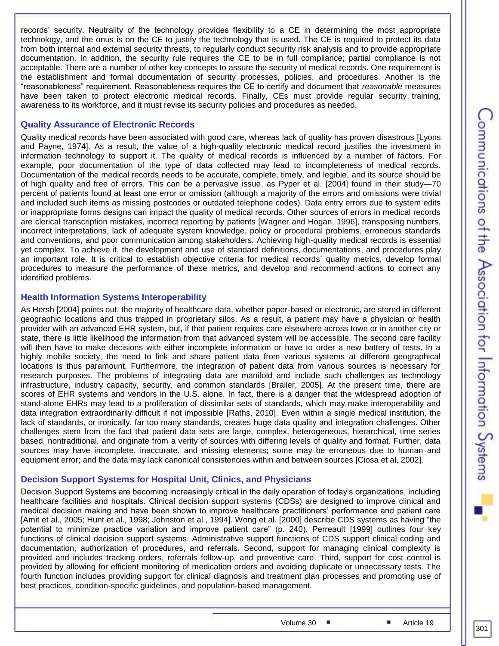records' security. Neutrality of the technology provides flexibility to a CE in determining the most appropriate technology, and the onus is on the CE to justify the technology that is used. The CE is required to protect its data from both internal and external security threats, to regularly conduct security risk analysis and to provide appropriate documentation. In addition, the security rule requires the CE to be in full compliance; partial compliance is not acceptable. There are a number of other key concepts to assure the security of medical records. One requirement is the establishment and formal documentation of security processes, policies, and procedures. Another is the "reasonableness" requirement. Reasonableness requires the CE to certify and document that *reasonable* measures have been taken to protect electronic medical records. Finally, CEs must provide regular security training, awareness to its workforce, and it must revise its security policies and procedures as needed.

### **Quality Assurance of Electronic Records**

Quality medical records have been associated with good care, whereas lack of quality has proven disastrous [Lyons and Payne, 1974]. As a result, the value of a high-quality electronic medical record justifies the investment in information technology to support it. The quality of medical records is influenced by a number of factors. For example, poor documentation of the type of data collected may lead to incompleteness of medical records. Documentation of the medical records needs to be accurate, complete, timely, and legible, and its source should be of high quality and free of errors. This can be a pervasive issue, as Pyper et al. [2004] found in their study—70 percent of patients found at least one error or omission (although a majority of the errors and omissions were trivial and included such items as missing postcodes or outdated telephone codes). Data entry errors due to system edits or inappropriate forms designs can impact the quality of medical records. Other sources of errors in medical records are clerical transcription mistakes, incorrect reporting by patients [Wagner and Hogan, 1996], transposing numbers, incorrect interpretations, lack of adequate system knowledge, policy or procedural problems, erroneous standards and conventions, and poor communication among stakeholders. Achieving high-quality medical records is essential yet complex. To achieve it, the development and use of standard definitions, documentations, and procedures play an important role. It is critical to establish objective criteria for medical records' quality metrics, develop formal procedures to measure the performance of these metrics, and develop and recommend actions to correct any identified problems.

### **Health Information Systems Interoperability**

As Hersh [2004] points out, the majority of healthcare data, whether paper-based or electronic, are stored in different geographic locations and thus trapped in proprietary silos. As a result, a patient may have a physician or health provider with an advanced EHR system, but, if that patient requires care elsewhere across town or in another city or state, there is little likelihood the information from that advanced system will be accessible. The second care facility will then have to make decisions with either incomplete information or have to order a new battery of tests. In a highly mobile society, the need to link and share patient data from various systems at different geographical locations is thus paramount. Furthermore, the integration of patient data from various sources is necessary for research purposes. The problems of integrating data are manifold and include such challenges as technology infrastructure, industry capacity, security, and common standards [Brailer, 2005]. At the present time, there are scores of EHR systems and vendors in the U.S. alone. In fact, there is a danger that the widespread adoption of stand-alone EHRs may lead to a proliferation of dissimilar sets of standards, which may make interoperability and data integration extraordinarily difficult if not impossible [Raths, 2010]. Even within a single medical institution, the lack of standards, or ironically, far too many standards, creates huge data quality and integration challenges. Other challenges stem from the fact that patient data sets are large, complex, heterogeneous, hierarchical, time series based, nontraditional, and originate from a verity of sources with differing levels of quality and format. Further, data sources may have incomplete, inaccurate, and missing elements; some may be erroneous due to human and equipment error; and the data may lack canonical consistencies within and between sources [Ciosa et al, 2002].

### **Decision Support Systems for Hospital Unit, Clinics, and Physicians**

Decision Support Systems are becoming increasingly critical in the daily operation of today's organizations, including healthcare facilities and hospitals. Clinical decision support systems (CDSs) are designed to improve clinical and medical decision making and have been shown to improve healthcare practitioners' performance and patient care [Amit et al., 2005; Hunt et al., 1998; Johnston et al., 1994]. Wong et al. [2000] describe CDS systems as having "the potential to minimize practice variation and improve patient care" (p. 240). Perreault [1999] outlines four key functions of clinical decision support systems. Administrative support functions of CDS support clinical coding and documentation, authorization of procedures, and referrals. Second, support for managing clinical complexity is provided and includes tracking orders, referrals follow-up, and preventive care. Third, support for cost control is provided by allowing for efficient monitoring of medication orders and avoiding duplicate or unnecessary tests. The fourth function includes providing support for clinical diagnosis and treatment plan processes and promoting use of best practices, condition-specific guidelines, and population-based management.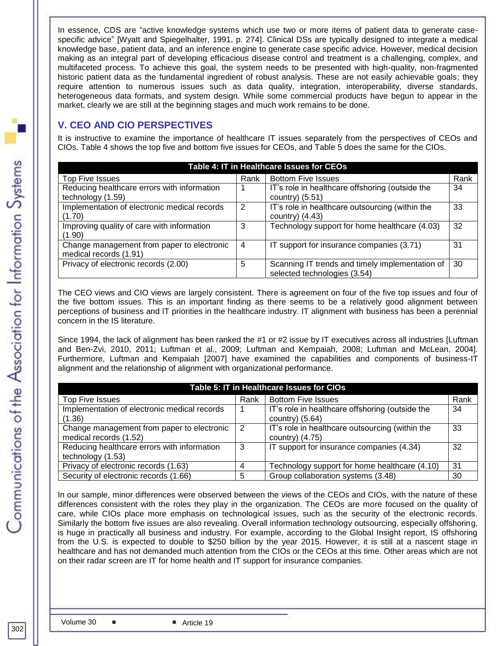In essence, CDS are "active knowledge systems which use two or more items of patient data to generate casespecific advice" [Wyatt and Spiegelhalter, 1991, p. 274]. Clinical DSs are typically designed to integrate a medical knowledge base, patient data, and an inference engine to generate case specific advice. However, medical decision making as an integral part of developing efficacious disease control and treatment is a challenging, complex, and multifaceted process. To achieve this goal, the system needs to be presented with high-quality, non-fragmented historic patient data as the fundamental ingredient of robust analysis. These are not easily achievable goals; they require attention to numerous issues such as data quality, integration, interoperability, diverse standards, heterogeneous data formats, and system design. While some commercial products have begun to appear in the market, clearly we are still at the beginning stages and much work remains to be done.

### **V. CEO AND CIO PERSPECTIVES**

It is instructive to examine the importance of healthcare IT issues separately from the perspectives of CEOs and CIOs. Table 4 shows the top five and bottom five issues for CEOs, and Table 5 does the same for the CIOs.

|                                                                      |      | Table 4: IT in Healthcare Issues for CEOs                                       |      |
|----------------------------------------------------------------------|------|---------------------------------------------------------------------------------|------|
| Top Five Issues                                                      | Rank | <b>Bottom Five Issues</b>                                                       | Rank |
| Reducing healthcare errors with information<br>technology (1.59)     |      | IT's role in healthcare offshoring (outside the<br>country) $(5.51)$            | 34   |
| Implementation of electronic medical records<br>(1.70)               | 2    | IT's role in healthcare outsourcing (within the<br>country) $(4.43)$            | 33   |
| Improving quality of care with information<br>(1.90)                 | 3    | Technology support for home healthcare (4.03)                                   | 32   |
| Change management from paper to electronic<br>medical records (1.91) | 4    | IT support for insurance companies (3.71)                                       | 31   |
| Privacy of electronic records (2.00)                                 | 5    | Scanning IT trends and timely implementation of<br>selected technologies (3.54) | 30   |

The CEO views and CIO views are largely consistent. There is agreement on four of the five top issues and four of the five bottom issues. This is an important finding as there seems to be a relatively good alignment between perceptions of business and IT priorities in the healthcare industry. IT alignment with business has been a perennial concern in the IS literature.

Since 1994, the lack of alignment has been ranked the #1 or #2 issue by IT executives across all industries [Luftman and Ben-Zvi, 2010, 2011; Luftman et al., 2009; Luftman and Kempaiah, 2008; Luftman and McLean, 2004]. Furthermore, Luftman and Kempaiah [2007] have examined the capabilities and components of business-IT alignment and the relationship of alignment with organizational performance.

| Table 5: IT in Healthcare Issues for CIOs                            |      |                                                                      |      |  |
|----------------------------------------------------------------------|------|----------------------------------------------------------------------|------|--|
| Top Five Issues                                                      | Rank | <b>Bottom Five Issues</b>                                            | Rank |  |
| Implementation of electronic medical records<br>(1.36)               |      | IT's role in healthcare offshoring (outside the<br>country) $(5.64)$ | 34   |  |
| Change management from paper to electronic<br>medical records (1.52) |      | IT's role in healthcare outsourcing (within the<br>country) (4.75)   | -33  |  |
| Reducing healthcare errors with information<br>technology (1.53)     | 3    | IT support for insurance companies (4.34)                            | 32   |  |
| Privacy of electronic records (1.63)                                 | 4    | Technology support for home healthcare (4.10)                        | 31   |  |
| Security of electronic records (1.66)                                | 5    | Group collaboration systems (3.48)                                   | 30   |  |

In our sample, minor differences were observed between the views of the CEOs and CIOs, with the nature of these differences consistent with the roles they play in the organization. The CEOs are more focused on the quality of care, while CIOs place more emphasis on technological issues, such as the security of the electronic records. Similarly the bottom five issues are also revealing. Overall information technology outsourcing, especially offshoring, is huge in practically all business and industry. For example, according to the Global Insight report, IS offshoring from the U.S. is expected to double to \$250 billion by the year 2015. However, it is still at a nascent stage in healthcare and has not demanded much attention from the CIOs or the CEOs at this time. Other areas which are not on their radar screen are IT for home health and IT support for insurance companies.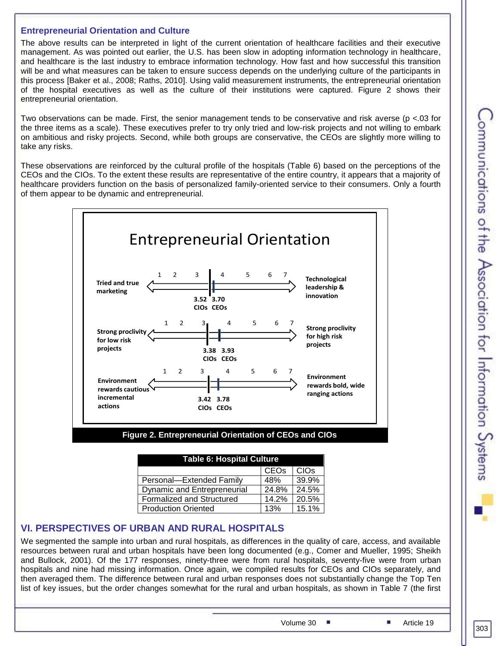### **Entrepreneurial Orientation and Culture**

The above results can be interpreted in light of the current orientation of healthcare facilities and their executive management. As was pointed out earlier, the U.S. has been slow in adopting information technology in healthcare, and healthcare is the last industry to embrace information technology. How fast and how successful this transition will be and what measures can be taken to ensure success depends on the underlying culture of the participants in this process [Baker et al., 2008; Raths, 2010]. Using valid measurement instruments, the entrepreneurial orientation of the hospital executives as well as the culture of their institutions were captured. Figure 2 shows their entrepreneurial orientation.

Two observations can be made. First, the senior management tends to be conservative and risk averse (p <.03 for the three items as a scale). These executives prefer to try only tried and low-risk projects and not willing to embark on ambitious and risky projects. Second, while both groups are conservative, the CEOs are slightly more willing to take any risks.

These observations are reinforced by the cultural profile of the hospitals (Table 6) based on the perceptions of the CEOs and the CIOs. To the extent these results are representative of the entire country, it appears that a majority of healthcare providers function on the basis of personalized family-oriented service to their consumers. Only a fourth of them appear to be dynamic and entrepreneurial.



| Table 6. HOSpital Guiture |                  |  |  |  |  |
|---------------------------|------------------|--|--|--|--|
| CEO <sub>s</sub>          | CIO <sub>s</sub> |  |  |  |  |
| 48%                       | 39.9%            |  |  |  |  |
| 24.8%                     | 24.5%            |  |  |  |  |
| 14.2%                     | 20.5%            |  |  |  |  |
| 13%                       | 15.1%            |  |  |  |  |
|                           |                  |  |  |  |  |

### **VI. PERSPECTIVES OF URBAN AND RURAL HOSPITALS**

We segmented the sample into urban and rural hospitals, as differences in the quality of care, access, and available resources between rural and urban hospitals have been long documented (e.g., Comer and Mueller, 1995; Sheikh and Bullock, 2001). Of the 177 responses, ninety-three were from rural hospitals, seventy-five were from urban hospitals and nine had missing information. Once again, we compiled results for CEOs and CIOs separately, and then averaged them. The difference between rural and urban responses does not substantially change the Top Ten list of key issues, but the order changes somewhat for the rural and urban hospitals, as shown in Table 7 (the first

Volume 30 **Article 19**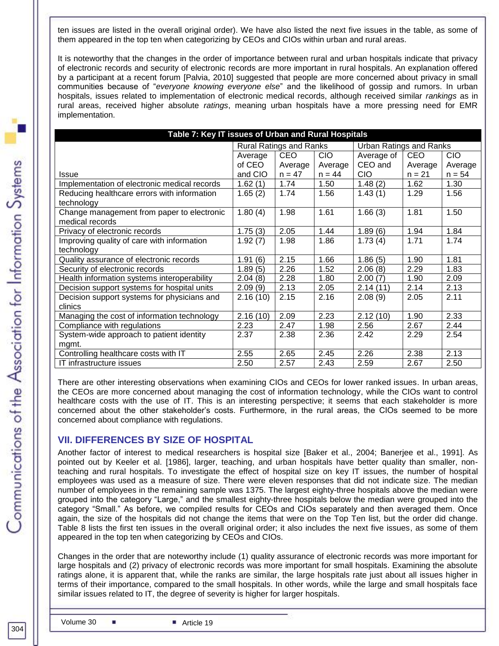ten issues are listed in the overall original order). We have also listed the next five issues in the table, as some of them appeared in the top ten when categorizing by CEOs and CIOs within urban and rural areas.

It is noteworthy that the changes in the order of importance between rural and urban hospitals indicate that privacy of electronic records and security of electronic records are more important in rural hospitals. An explanation offered by a participant at a recent forum [Palvia, 2010] suggested that people are more concerned about privacy in small communities because of "*everyone knowing everyone else*" and the likelihood of gossip and rumors. In urban hospitals, issues related to implementation of electronic medical records, although received similar *rankings* as in rural areas, received higher absolute *ratings*, meaning urban hospitals have a more pressing need for EMR implementation.

| Table 7: Key IT issues of Urban and Rural Hospitals           |                                                           |            |            |            |            |            |
|---------------------------------------------------------------|-----------------------------------------------------------|------------|------------|------------|------------|------------|
|                                                               | <b>Rural Ratings and Ranks</b><br>Urban Ratings and Ranks |            |            |            |            |            |
|                                                               | Average                                                   | <b>CEO</b> | <b>CIO</b> | Average of | <b>CEO</b> | <b>CIO</b> |
|                                                               | of CEO                                                    | Average    | Average    | CEO and    | Average    | Average    |
| Issue                                                         | and CIO                                                   | $n = 47$   | $n = 44$   | <b>CIO</b> | $n = 21$   | $n = 54$   |
| Implementation of electronic medical records                  | 1.62(1)                                                   | 1.74       | 1.50       | 1.48(2)    | 1.62       | 1.30       |
| Reducing healthcare errors with information<br>technology     | 1.65(2)                                                   | 1.74       | 1.56       | 1.43(1)    | 1.29       | 1.56       |
| Change management from paper to electronic<br>medical records | 1.80(4)                                                   | 1.98       | 1.61       | 1.66(3)    | 1.81       | 1.50       |
| Privacy of electronic records                                 | 1.75(3)                                                   | 2.05       | 1.44       | 1.89(6)    | 1.94       | 1.84       |
| Improving quality of care with information<br>technology      | 1.92(7)                                                   | 1.98       | 1.86       | 1.73(4)    | 1.71       | 1.74       |
| Quality assurance of electronic records                       | 1.91(6)                                                   | 2.15       | 1.66       | 1.86(5)    | 1.90       | 1.81       |
| Security of electronic records                                | 1.89(5)                                                   | 2.26       | 1.52       | 2.06(8)    | 2.29       | 1.83       |
| Health information systems interoperability                   | 2.04(8)                                                   | 2.28       | 1.80       | 2.00(7)    | 1.90       | 2.09       |
| Decision support systems for hospital units                   | 2.09(9)                                                   | 2.13       | 2.05       | 2.14(11)   | 2.14       | 2.13       |
| Decision support systems for physicians and<br>clinics        | 2.16(10)                                                  | 2.15       | 2.16       | 2.08(9)    | 2.05       | 2.11       |
| Managing the cost of information technology                   | 2.16(10)                                                  | 2.09       | 2.23       | 2.12(10)   | 1.90       | 2.33       |
| Compliance with regulations                                   | 2.23                                                      | 2.47       | 1.98       | 2.56       | 2.67       | 2.44       |
| System-wide approach to patient identity<br>mgmt.             | 2.37                                                      | 2.38       | 2.36       | 2.42       | 2.29       | 2.54       |
| Controlling healthcare costs with IT                          | 2.55                                                      | 2.65       | 2.45       | 2.26       | 2.38       | 2.13       |
| IT infrastructure issues                                      | 2.50                                                      | 2.57       | 2.43       | 2.59       | 2.67       | 2.50       |

There are other interesting observations when examining CIOs and CEOs for lower ranked issues. In urban areas, the CEOs are more concerned about managing the cost of information technology, while the CIOs want to control healthcare costs with the use of IT. This is an interesting perspective; it seems that each stakeholder is more concerned about the other stakeholder's costs. Furthermore, in the rural areas, the CIOs seemed to be more concerned about compliance with regulations.

### **VII. DIFFERENCES BY SIZE OF HOSPITAL**

Another factor of interest to medical researchers is hospital size [Baker et al., 2004; Banerjee et al., 1991]. As pointed out by Keeler et al. [1986], larger, teaching, and urban hospitals have better quality than smaller, nonteaching and rural hospitals. To investigate the effect of hospital size on key IT issues, the number of hospital employees was used as a measure of size. There were eleven responses that did not indicate size. The median number of employees in the remaining sample was 1375. The largest eighty-three hospitals above the median were grouped into the category "Large," and the smallest eighty-three hospitals below the median were grouped into the category "Small." As before, we compiled results for CEOs and CIOs separately and then averaged them. Once again, the size of the hospitals did not change the items that were on the Top Ten list, but the order did change. Table 8 lists the first ten issues in the overall original order; it also includes the next five issues, as some of them appeared in the top ten when categorizing by CEOs and CIOs.

Changes in the order that are noteworthy include (1) quality assurance of electronic records was more important for large hospitals and (2) privacy of electronic records was more important for small hospitals. Examining the absolute ratings alone, it is apparent that, while the ranks are similar, the large hospitals rate just about all issues higher in terms of their importance, compared to the small hospitals. In other words, while the large and small hospitals face similar issues related to IT, the degree of severity is higher for larger hospitals.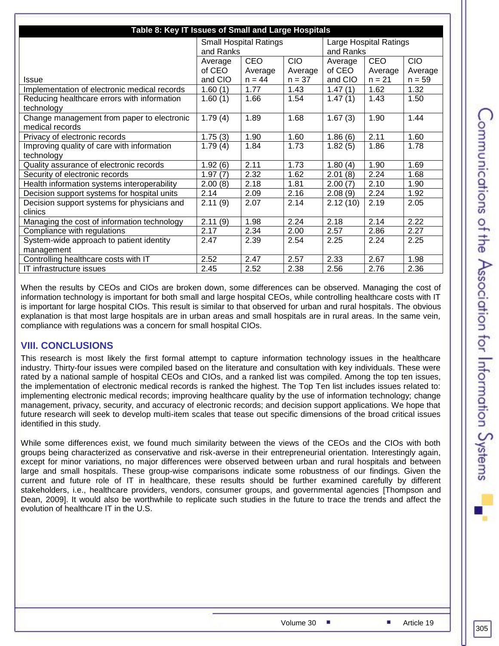| Table 8: Key IT Issues of Small and Large Hospitals |                               |            |            |                        |            |            |  |
|-----------------------------------------------------|-------------------------------|------------|------------|------------------------|------------|------------|--|
|                                                     | <b>Small Hospital Ratings</b> |            |            | Large Hospital Ratings |            |            |  |
|                                                     | and Ranks                     |            |            | and Ranks              |            |            |  |
|                                                     | Average                       | <b>CEO</b> | <b>CIO</b> | Average                | <b>CEO</b> | <b>CIO</b> |  |
|                                                     | of CEO                        | Average    | Average    | of CEO                 | Average    | Average    |  |
| <b>Issue</b>                                        | and CIO                       | $n = 44$   | $n = 37$   | and CIO                | $n = 21$   | $n = 59$   |  |
| Implementation of electronic medical records        | 1.60(1)                       | 1.77       | 1.43       | 1.47(1)                | 1.62       | 1.32       |  |
| Reducing healthcare errors with information         | 1.60(1)                       | 1.66       | 1.54       | 1.47(1)                | 1.43       | 1.50       |  |
| technology                                          |                               |            |            |                        |            |            |  |
| Change management from paper to electronic          | 1.79(4)                       | 1.89       | 1.68       | 1.67(3)                | 1.90       | 1.44       |  |
| medical records                                     |                               |            |            |                        |            |            |  |
| Privacy of electronic records                       | 1.75(3)                       | 1.90       | 1.60       | 1.86(6)                | 2.11       | 1.60       |  |
| Improving quality of care with information          | 1.79(4)                       | 1.84       | 1.73       | 1.82(5)                | 1.86       | 1.78       |  |
| technology                                          |                               |            |            |                        |            |            |  |
| Quality assurance of electronic records             | 1.92(6)                       | 2.11       | 1.73       | 1.80(4)                | 1.90       | 1.69       |  |
| Security of electronic records                      | 1.97(7)                       | 2.32       | 1.62       | 2.01(8)                | 2.24       | 1.68       |  |
| Health information systems interoperability         | 2.00(8)                       | 2.18       | 1.81       | 2.00(7)                | 2.10       | 1.90       |  |
| Decision support systems for hospital units         | 2.14                          | 2.09       | 2.16       | 2.08(9)                | 2.24       | 1.92       |  |
| Decision support systems for physicians and         | 2.11(9)                       | 2.07       | 2.14       | 2.12(10)               | 2.19       | 2.05       |  |
| clinics                                             |                               |            |            |                        |            |            |  |
| Managing the cost of information technology         | 2.11(9)                       | 1.98       | 2.24       | 2.18                   | 2.14       | 2.22       |  |
| Compliance with regulations                         | 2.17                          | 2.34       | 2.00       | 2.57                   | 2.86       | 2.27       |  |
| System-wide approach to patient identity            | 2.47                          | 2.39       | 2.54       | 2.25                   | 2.24       | 2.25       |  |
| management                                          |                               |            |            |                        |            |            |  |
| Controlling healthcare costs with IT                | 2.52                          | 2.47       | 2.57       | 2.33                   | 2.67       | 1.98       |  |
| IT infrastructure issues                            | 2.45                          | 2.52       | 2.38       | 2.56                   | 2.76       | 2.36       |  |

When the results by CEOs and CIOs are broken down, some differences can be observed. Managing the cost of information technology is important for both small and large hospital CEOs, while controlling healthcare costs with IT is important for large hospital CIOs. This result is similar to that observed for urban and rural hospitals. The obvious explanation is that most large hospitals are in urban areas and small hospitals are in rural areas. In the same vein, compliance with regulations was a concern for small hospital CIOs.

### **VIII. CONCLUSIONS**

This research is most likely the first formal attempt to capture information technology issues in the healthcare industry. Thirty-four issues were compiled based on the literature and consultation with key individuals. These were rated by a national sample of hospital CEOs and CIOs, and a ranked list was compiled. Among the top ten issues, the implementation of electronic medical records is ranked the highest. The Top Ten list includes issues related to: implementing electronic medical records; improving healthcare quality by the use of information technology; change management, privacy, security, and accuracy of electronic records; and decision support applications. We hope that future research will seek to develop multi-item scales that tease out specific dimensions of the broad critical issues identified in this study.

While some differences exist, we found much similarity between the views of the CEOs and the CIOs with both groups being characterized as conservative and risk-averse in their entrepreneurial orientation. Interestingly again, except for minor variations, no major differences were observed between urban and rural hospitals and between large and small hospitals. These group-wise comparisons indicate some robustness of our findings. Given the current and future role of IT in healthcare, these results should be further examined carefully by different stakeholders, i.e., healthcare providers, vendors, consumer groups, and governmental agencies [Thompson and Dean, 2009]. It would also be worthwhile to replicate such studies in the future to trace the trends and affect the evolution of healthcare IT in the U.S.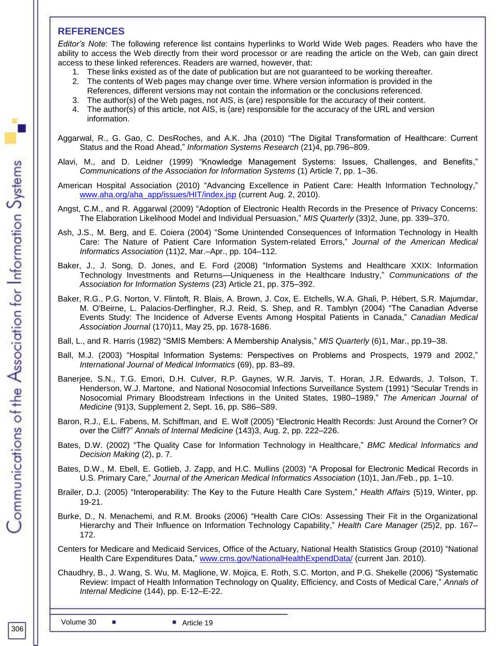### **REFERENCES**

*Editor's Note*: The following reference list contains hyperlinks to World Wide Web pages. Readers who have the ability to access the Web directly from their word processor or are reading the article on the Web, can gain direct access to these linked references. Readers are warned, however, that:

- 1. These links existed as of the date of publication but are not guaranteed to be working thereafter.
- 2. The contents of Web pages may change over time. Where version information is provided in the References, different versions may not contain the information or the conclusions referenced.
- 3. The author(s) of the Web pages, not AIS, is (are) responsible for the accuracy of their content.
- 4. The author(s) of this article, not AIS, is (are) responsible for the accuracy of the URL and version information.

Aggarwal, R., G. Gao, C. DesRoches, and A.K. Jha (2010) "The Digital Transformation of Healthcare: Current Status and the Road Ahead," *Information Systems Research* (21)4, pp.796–809.

- Alavi, M., and D. Leidner (1999) "Knowledge Management Systems: Issues, Challenges, and Benefits," *Communications of the Association for Information Systems* (1) Article 7, pp. 1–36.
- American Hospital Association (2010) "Advancing Excellence in Patient Care: Health Information Technology," [www.aha.org/aha\\_app/issues/HIT/index.jsp](http://www.aha.org/aha_app/issues/HIT/index.jsp) (current Aug. 2, 2010).
- Angst, C.M., and R. Aggarwal (2009) "Adoption of Electronic Health Records in the Presence of Privacy Concerns: The Elaboration Likelihood Model and Individual Persuasion," *MIS Quarterly* (33)2, June, pp. 339–370.
- Ash, J.S., M. Berg, and E. Coiera (2004) "Some Unintended Consequences of Information Technology in Health Care: The Nature of Patient Care Information System-related Errors," *Journal of the American Medical Informatics Association* (11)2, Mar.–Apr., pp. 104–112.
- Baker, J., J. Song, D. Jones, and E. Ford (2008) "Information Systems and Healthcare XXIX: Information Technology Investments and Returns—Uniqueness in the Healthcare Industry," *Communications of the Association for Information Systems* (23) Article 21, pp. 375–392.
- Baker, R.G., P.G. Norton, V. Flintoft, R. Blais, A. Brown, J. Cox, E. Etchells, W.A. Ghali, P. Hébert, S.R. Majumdar, M. O'Beirne, L. Palacios-Derflingher, R.J. Reid, S. Shep, and R. Tamblyn (2004) "The Canadian Adverse Events Study: The Incidence of Adverse Events Among Hospital Patients in Canada," *Canadian Medical Association Journal* (170)11, May 25, pp. 1678-1686.

Ball, L., and R. Harris (1982) "SMIS Members: A Membership Analysis," *MIS Quarterly* (6)1, Mar., pp.19–38.

- Ball, M.J. (2003) "Hospital Information Systems: Perspectives on Problems and Prospects, 1979 and 2002," *International Journal of Medical Informatics* (69), pp. 83–89.
- Banerjee, S.N., T.G. Emori, D.H. Culver, R.P. Gaynes, W.R. Jarvis, T. Horan, J.R. Edwards, J. Tolson, T. Henderson, W.J. Martone, and National Nosocomial Infections Surveillance System (1991) "Secular Trends in Nosocomial Primary Bloodstream Infections in the United States, 1980–1989," *The American Journal of Medicine* (91)3, Supplement 2, Sept. 16, pp. S86–S89.
- Baron, R.J., E.L. Fabens, M. Schiffman, and E. Wolf (2005) "Electronic Health Records: Just Around the Corner? Or over the Cliff?" *Annals of Internal Medicine* (143)3, Aug. 2, pp. 222–226.
- Bates, D.W. (2002) "The Quality Case for Information Technology in Healthcare," *BMC Medical Informatics and Decision Making* (2), p. 7.
- Bates, D.W., M. Ebell, E. Gotlieb, J. Zapp, and H.C. Mullins (2003) "A Proposal for Electronic Medical Records in U.S. Primary Care," *Journal of the American Medical Informatics Association* (10)1, Jan./Feb., pp. 1–10.
- Brailer, D.J. (2005) "Interoperability: The Key to the Future Health Care System," *Health Affairs* (5)19, Winter, pp. 19-21.
- Burke, D., N. Menachemi, and R.M. Brooks (2006) "Health Care CIOs: Assessing Their Fit in the Organizational Hierarchy and Their Influence on Information Technology Capability," *Health Care Manager* (25)2, pp. 167– 172.
- Centers for Medicare and Medicaid Services, Office of the Actuary, National Health Statistics Group (2010) ["National](http://www.cms.hhs.gov/nationalhealthexpenddata/01_overview.asp?)  [Health Care Expenditures Data,"](http://www.cms.hhs.gov/nationalhealthexpenddata/01_overview.asp?) [www.cms.gov/NationalHealthExpendData/](../../../AppData/Local/from%20CE/www.cms.gov/NationalHealthExpendData/) (current Jan. 2010).
- Chaudhry, B., J. Wang, S. Wu, M. Maglione, W. Mojica, E. Roth, S.C. Morton, and P.G. Shekelle (2006) "Systematic Review: Impact of Health Information Technology on Quality, Efficiency, and Costs of Medical Care," *Annals of Internal Medicine* (144), pp. E-12–E-22.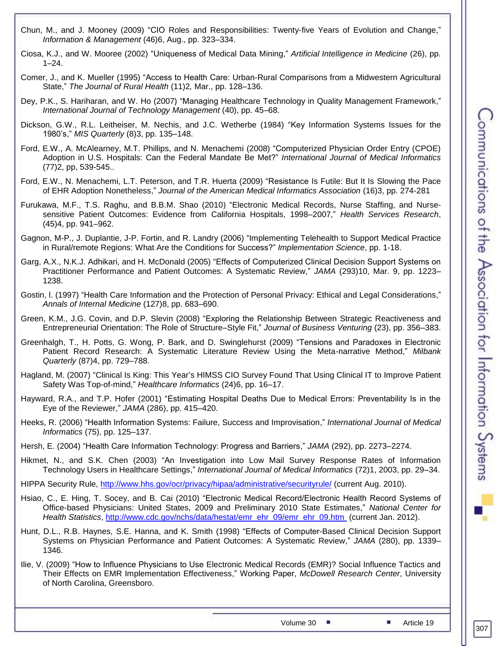- Chun, M., and J. Mooney (2009) "CIO Roles and Responsibilities: Twenty-five Years of Evolution and Change," *Information & Management* (46)6, Aug., pp. 323–334.
- Ciosa, K.J., and W. Mooree (2002) "Uniqueness of Medical Data Mining," *Artificial Intelligence in Medicine* (26), pp.  $1 - 24$ .
- Comer, J., and K. Mueller (1995) "Access to Health Care: Urban-Rural Comparisons from a Midwestern Agricultural State," *The Journal of Rural Health* (11)2*,* Mar., pp. 128–136.
- Dey, P.K., S. Hariharan, and W. Ho (2007) "Managing Healthcare Technology in Quality Management Framework," *International Journal of Technology Management* (40), pp. 45–68.
- Dickson, G.W., R.L. Leitheiser, M. Nechis, and J.C. Wetherbe (1984) "Key Information Systems Issues for the 1980's," *MIS Quarterly* (8)3, pp. 135–148.
- Ford, E.W., A. McAlearney, M.T. Phillips, and N. Menachemi (2008) "Computerized Physician Order Entry (CPOE) Adoption in U.S. Hospitals: Can the Federal Mandate Be Met?" *International Journal of Medical Informatics* (77)2, pp, 539-545..
- Ford, E.W., N. Menachemi, L.T. Peterson, and T.R. Huerta (2009) "Resistance Is Futile: But It Is Slowing the Pace of EHR Adoption Nonetheless," *Journal of the American Medical Informatics Association* (16)3, pp. 274-281
- Furukawa, M.F., T.S. Raghu, and B.B.M. Shao (2010) "Electronic Medical Records, Nurse Staffing, and Nursesensitive Patient Outcomes: Evidence from California Hospitals, 1998–2007," *Health Services Research*, (45)4, pp. 941–962.
- Gagnon, M-P., J. Duplantie, J-P. Fortin, and R. Landry (2006) "Implementing Telehealth to Support Medical Practice in Rural/remote Regions: What Are the Conditions for Success?" *Implementation Science*, pp. 1-18.
- Garg, A.X., N.K.J. Adhikari, and H. McDonald (2005) "Effects of Computerized Clinical Decision Support Systems on Practitioner Performance and Patient Outcomes: A Systematic Review," *JAMA* (293)10, Mar. 9, pp. 1223– 1238.
- Gostin, l. (1997) "Health Care Information and the Protection of Personal Privacy: Ethical and Legal Considerations," *Annals of Internal Medicine* (127)8, pp. 683–690.
- Green, K.M., J.G. Covin, and D.P. Slevin (2008) "Exploring the Relationship Between Strategic Reactiveness and Entrepreneurial Orientation: The Role of Structure–Style Fit," *Journal of Business Venturing* (23), pp. 356–383.
- Greenhalgh, T., H. Potts, G. Wong, P. Bark, and D. Swinglehurst (2009) "Tensions and Paradoxes in Electronic Patient Record Research: A Systematic Literature Review Using the Meta-narrative Method," *Milbank Quarterly* (87)4, pp. 729–788.
- Hagland, M. (2007) "Clinical Is King: This Year's HIMSS CIO Survey Found That Using Clinical IT to Improve Patient Safety Was Top-of-mind," *Healthcare Informatics* (24)6, pp. 16–17.
- Hayward, R.A., and T.P. Hofer (2001) "Estimating Hospital Deaths Due to Medical Errors: Preventability Is in the Eye of the Reviewer," *JAMA* (286), pp. 415–420.
- Heeks, R. (2006) "Health Information Systems: Failure, Success and Improvisation," *International Journal of Medical Informatics* (75), pp. 125–137.
- Hersh, E. (2004) "Health Care Information Technology: Progress and Barriers," *JAMA* (292), pp. 2273–2274.
- Hikmet, N., and S.K. Chen (2003) "An Investigation into Low Mail Survey Response Rates of Information Technology Users in Healthcare Settings," *International Journal of Medical Informatics* (72)1, 2003, pp. 29–34.
- HIPPA Security Rule,<http://www.hhs.gov/ocr/privacy/hipaa/administrative/securityrule/> (current Aug. 2010).
- Hsiao, C., E. Hing, T. Socey, and B. Cai (2010) "Electronic Medical Record/Electronic Health Record Systems of Office-based Physicians: United States, 2009 and Preliminary 2010 State Estimates," *National Center for Health Statistics*, [http://www.cdc.gov/nchs/data/hestat/emr\\_ehr\\_09/emr\\_ehr\\_09.htm](http://www.cdc.gov/nchs/data/hestat/emr_ehr_09/emr_ehr_09.htm) (current Jan. 2012).
- Hunt, D.L., R.B. Haynes, S.E. Hanna, and K. Smith (1998) "Effects of Computer-Based Clinical Decision Support Systems on Physician Performance and Patient Outcomes: A Systematic Review," *JAMA* (280), pp. 1339– 1346.
- Ilie, V. (2009) "How to Influence Physicians to Use Electronic Medical Records (EMR)? Social Influence Tactics and Their Effects on EMR Implementation Effectiveness," Working Paper, *McDowell Research Center*, University of North Carolina, Greensboro.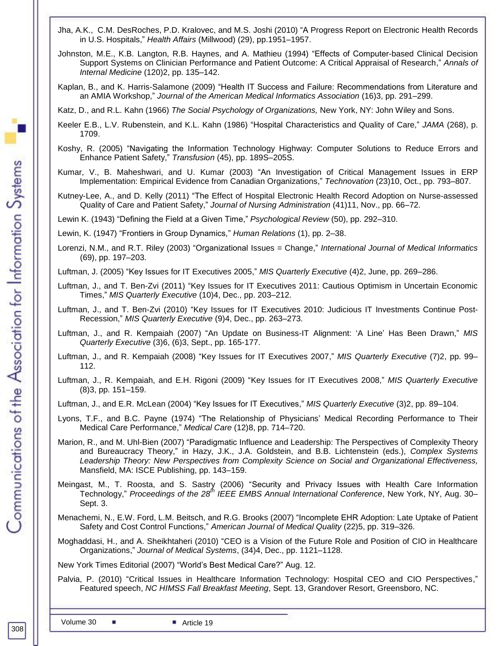- Jha, A.K., C.M. DesRoches, P.D. Kralovec, and M.S. Joshi (2010) "A Progress Report on Electronic Health Records in U.S. Hospitals," *Health Affairs* (Millwood) (29), pp.1951–1957.
- Johnston, M.E., K.B. Langton, R.B. Haynes, and A. Mathieu (1994) "Effects of Computer-based Clinical Decision Support Systems on Clinician Performance and Patient Outcome: A Critical Appraisal of Research," *Annals of Internal Medicine* (120)2, pp. 135–142.
- Kaplan, B., and K. Harris-Salamone (2009) "Health IT Success and Failure: Recommendations from Literature and an AMIA Workshop," *Journal of the American Medical Informatics Association* (16)3, pp. 291–299.

Katz, D., and R.L. Kahn (1966) *The Social Psychology of Organizations,* New York, NY: John Wiley and Sons.

- Keeler E.B., L.V. Rubenstein, and K.L. Kahn (1986) "Hospital Characteristics and Quality of Care," *JAMA* (268), p. 1709.
- Koshy, R. (2005) "Navigating the Information Technology Highway: Computer Solutions to Reduce Errors and Enhance Patient Safety," *Transfusion* (45), pp. 189S–205S.
- Kumar, V., B. Maheshwari, and U. Kumar (2003) "An Investigation of Critical Management Issues in ERP Implementation: Empirical Evidence from Canadian Organizations," *[Technovation](http://www.sciencedirect.com/science/journal/01664972)* (23)10, Oct., pp. 793–807.
- Kutney-Lee, A., and D. Kelly (2011) "The Effect of Hospital Electronic Health Record Adoption on Nurse-assessed Quality of Care and Patient Safety," *Journal of Nursing Administration* (41)11, Nov., pp. 66–72.
- Lewin K. (1943) "Defining the Field at a Given Time," *Psychological Review* (50), pp. 292–310.
- Lewin, K. (1947) "Frontiers in Group Dynamics*,*" *Human Relations* (1), pp. 2–38.
- Lorenzi, N.M., and R.T. Riley (2003) "Organizational Issues = Change," *International Journal of Medical Informatics* (69), pp. 197–203.
- Luftman, J. (2005) "Key Issues for IT Executives 2005," *MIS Quarterly Executive* (4)2, June, pp. 269–286.
- Luftman, J., and T. Ben-Zvi (2011) "Key Issues for IT Executives 2011: Cautious Optimism in Uncertain Economic Times," *MIS Quarterly Executive* (10)4, Dec., pp. 203–212.
- Luftman, J., and T. Ben-Zvi (2010) "Key Issues for IT Executives 2010: Judicious IT Investments Continue Post-Recession," *MIS Quarterly Executive* (9)4, Dec., pp. 263–273.
- Luftman, J., and R. Kempaiah (2007) "An Update on Business-IT Alignment: 'A Line' Has Been Drawn," *MIS Quarterly Executive* (3)6, (6)3, Sept., pp. 165-177.
- Luftman, J., and R. Kempaiah (2008) "Key Issues for IT Executives 2007," *MIS Quarterly Executive* (7)2, pp. 99– 112.
- Luftman, J., R. Kempaiah, and E.H. Rigoni (2009) "Key Issues for IT Executives 2008," *MIS Quarterly Executive* (8)3, pp. 151–159.

Luftman, J., and E.R. McLean (2004) "Key Issues for IT Executives," *MIS Quarterly Executive* (3)2, pp. 89–104.

- Lyons, T.F., and B.C. Payne (1974) "The Relationship of Physicians' Medical Recording Performance to Their Medical Care Performance," *Medical Care* (12)8, pp. 714–720.
- Marion, R., and M. Uhl-Bien (2007) "Paradigmatic Influence and Leadership: The Perspectives of Complexity Theory and Bureaucracy Theory," in Hazy, J.K., J.A. Goldstein, and B.B. Lichtenstein (eds.), *Complex Systems Leadership Theory: New Perspectives from Complexity Science on Social and Organizational Effectiveness,* Mansfield, MA: ISCE Publishing, pp. 143–159.
- Meingast, M., T. Roosta, and S. Sastry (2006) "Security and Privacy Issues with Health Care Information Technology," *Proceedings of the 28th IEEE EMBS Annual International Conference*, New York, NY, Aug. 30– Sept. 3.
- Menachemi, N., E.W. Ford, L.M. Beitsch, and R.G. Brooks (2007) "Incomplete EHR Adoption: Late Uptake of Patient Safety and Cost Control Functions," *American Journal of Medical Quality* (22)5, pp. 319–326.
- Moghaddasi, H., and A. Sheikhtaheri (2010) "CEO is a Vision of the Future Role and Position of CIO in Healthcare Organizations," *Journal of Medical Systems*, (34)4, Dec., pp. 1121–1128.

New York Times Editorial (2007) "World's Best Medical Care?" Aug. 12.

Palvia, P. (2010) "Critical Issues in Healthcare Information Technology: Hospital CEO and CIO Perspectives," Featured speech, *NC HIMSS Fall Breakfast Meeting*, Sept. 13, Grandover Resort, Greensboro, NC.

a,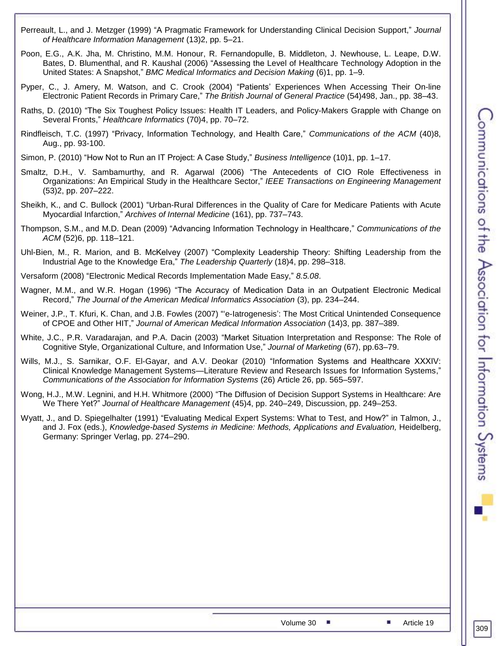- Perreault, L., and J. Metzger (1999) "A Pragmatic Framework for Understanding Clinical Decision Support," *Journal of Healthcare Information Management* (13)2, pp. 5–21.
- Poon, E.G., A.K. Jha, M. Christino, M.M. Honour, R. Fernandopulle, B. Middleton, J. Newhouse, L. Leape, D.W. Bates, D. Blumenthal, and R. Kaushal (2006) "Assessing the Level of Healthcare Technology Adoption in the United States: A Snapshot," *BMC Medical Informatics and Decision Making* (6)1, pp. 1–9.
- Pyper, C., J. Amery, M. Watson, and C. Crook (2004) "Patients' Experiences When Accessing Their On-line Electronic Patient Records in Primary Care," *The British Journal of General Practice* (54)498, Jan., pp. 38–43.
- Raths, D. (2010) "The Six Toughest Policy Issues: Health IT Leaders, and Policy-Makers Grapple with Change on Several Fronts," *Healthcare Informatics* (70)4, pp. 70–72.
- Rindfleisch, T.C. (1997) "Privacy, Information Technology, and Health Care," *Communications of the ACM* (40)8, Aug., pp. 93-100.

Simon, P. (2010) "How Not to Run an IT Project: A Case Study," *Business Intelligence* (10)1, pp. 1–17.

- Smaltz, D.H., V. Sambamurthy, and R. Agarwal (2006) "The Antecedents of CIO Role Effectiveness in Organizations: An Empirical Study in the Healthcare Sector," *IEEE Transactions on Engineering Management* (53)2, pp. 207–222.
- Sheikh, K., and C. Bullock (2001) "Urban-Rural Differences in the Quality of Care for Medicare Patients with Acute Myocardial Infarction," *Archives of Internal Medicine* (161), pp. 737–743.
- Thompson, S.M., and M.D. Dean (2009) "Advancing Information Technology in Healthcare," *Communications of the ACM* (52)6, pp. 118–121.
- Uhl-Bien, M., R. Marion, and B. McKelvey (2007) "Complexity Leadership Theory: Shifting Leadership from the Industrial Age to the Knowledge Era," *The Leadership Quarterly* (18)4, pp. 298–318.

Versaform (2008) "Electronic Medical Records Implementation Made Easy," *8.5.08*.

- Wagner, M.M., and W.R. Hogan (1996) "The Accuracy of Medication Data in an Outpatient Electronic Medical Record," *The Journal of the American Medical Informatics Association* (3), pp. 234–244.
- Weiner, J.P., T. Kfuri, K. Chan, and J.B. Fowles (2007) "'e-Iatrogenesis': The Most Critical Unintended Consequence of CPOE and Other HIT," *Journal of American Medical Information Association* (14)3, pp. 387–389.
- White, J.C., P.R. Varadarajan, and P.A. Dacin (2003) "Market Situation Interpretation and Response: The Role of Cognitive Style, Organizational Culture, and Information Use," *Journal of Marketing* (67), pp.63–79.
- Wills, M.J., S. Sarnikar, O.F. El-Gayar, and A.V. Deokar (2010) "Information Systems and Healthcare XXXIV: Clinical Knowledge Management Systems—Literature Review and Research Issues for Information Systems," *Communications of the Association for Information Systems* (26) Article 26, pp. 565–597.
- Wong, H.J., M.W. Legnini, and H.H. Whitmore (2000) "The Diffusion of Decision Support Systems in Healthcare: Are We There Yet?" *Journal of Healthcare Management* (45)4, pp. 240–249, Discussion, pp. 249–253.
- Wyatt, J., and D. Spiegelhalter (1991) "Evaluating Medical Expert Systems: What to Test, and How?" in Talmon, J., and J. Fox (eds.), *Knowledge-based Systems in Medicine: Methods, Applications and Evaluation,* Heidelberg, Germany: Springer Verlag, pp. 274–290.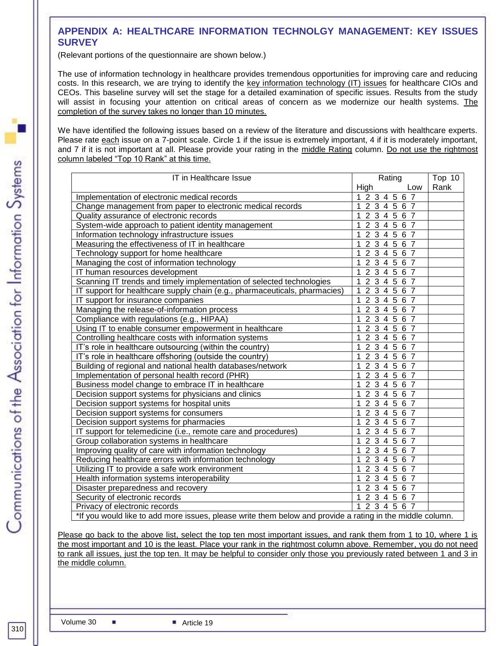### **APPENDIX A: HEALTHCARE INFORMATION TECHNOLGY MANAGEMENT: KEY ISSUES SURVEY**

(Relevant portions of the questionnaire are shown below.)

The use of information technology in healthcare provides tremendous opportunities for improving care and reducing costs. In this research, we are trying to identify the key information technology (IT) issues for healthcare CIOs and CEOs. This baseline survey will set the stage for a detailed examination of specific issues. Results from the study will assist in focusing your attention on critical areas of concern as we modernize our health systems. The completion of the survey takes no longer than 10 minutes.

We have identified the following issues based on a review of the literature and discussions with healthcare experts. Please rate each issue on a 7-point scale. Circle 1 if the issue is extremely important, 4 if it is moderately important, and 7 if it is not important at all. Please provide your rating in the middle Rating column. Do not use the rightmost column labeled "Top 10 Rank" at this time.

| IT in Healthcare Issue                                                                                    | Rating                        | Top 10 |
|-----------------------------------------------------------------------------------------------------------|-------------------------------|--------|
|                                                                                                           | High<br>Low                   | Rank   |
| Implementation of electronic medical records                                                              | 1234567                       |        |
| Change management from paper to electronic medical records                                                | 1 2 3 4 5 6 7                 |        |
| Quality assurance of electronic records                                                                   | 1 2 3 4 5 6 7                 |        |
| System-wide approach to patient identity management                                                       | 2 3 4 5 6 7<br>$\mathbf{1}$   |        |
| Information technology infrastructure issues                                                              | 234567<br>$\mathbf{1}$        |        |
| Measuring the effectiveness of IT in healthcare                                                           | 2 3 4 5 6 7<br>$\mathbf{1}$   |        |
| Technology support for home healthcare                                                                    | 2 3 4 5 6 7<br>$\mathbf{1}$   |        |
| Managing the cost of information technology                                                               | 2 3 4 5 6 7<br>$\mathbf{1}$   |        |
| IT human resources development                                                                            | 2 3 4 5 6 7<br>$\mathbf{1}$   |        |
| Scanning IT trends and timely implementation of selected technologies                                     | 2 3 4 5 6 7<br>$\mathbf{1}$   |        |
| IT support for healthcare supply chain (e.g., pharmaceuticals, pharmacies)                                | 2 3 4 5 6 7<br>$\mathbf{1}$   |        |
| IT support for insurance companies                                                                        | 234567<br>$\mathbf{1}$        |        |
| Managing the release-of-information process                                                               | 234567<br>$\mathbf{1}$        |        |
| Compliance with regulations (e.g., HIPAA)                                                                 | 2 3 4 5 6 7<br>$\mathbf{1}$   |        |
| Using IT to enable consumer empowerment in healthcare                                                     | 2 3 4 5 6 7<br>$\mathbf{1}$   |        |
| Controlling healthcare costs with information systems                                                     | 2 3 4 5 6 7<br>$\mathbf{1}$   |        |
| IT's role in healthcare outsourcing (within the country)                                                  | 2 3 4 5 6 7<br>$\mathbf{1}$   |        |
| IT's role in healthcare offshoring (outside the country)                                                  | 2 3 4 5 6 7<br>1              |        |
| Building of regional and national health databases/network                                                | 2 3 4 5 6 7<br>$\mathbf{1}$   |        |
| Implementation of personal health record (PHR)                                                            | 2 3 4 5 6 7<br>$\mathbf{1}$   |        |
| Business model change to embrace IT in healthcare                                                         | 2 3 4 5 6 7<br>1              |        |
| Decision support systems for physicians and clinics                                                       | 2 3 4 5 6 7<br>$\mathbf{1}$   |        |
| Decision support systems for hospital units                                                               | 2 3 4 5 6 7<br>$\overline{1}$ |        |
| Decision support systems for consumers                                                                    | 2 3 4 5 6 7<br>1              |        |
| Decision support systems for pharmacies                                                                   | 1 2 3 4 5 6 7                 |        |
| IT support for telemedicine (i.e., remote care and procedures)                                            | 234567<br>$\mathbf{1}$        |        |
| Group collaboration systems in healthcare                                                                 | $\mathbf{1}$<br>2 3 4 5 6 7   |        |
| Improving quality of care with information technology                                                     | 2 3 4 5 6 7<br>$\overline{1}$ |        |
| Reducing healthcare errors with information technology                                                    | 2 3 4 5 6 7<br>1              |        |
| Utilizing IT to provide a safe work environment                                                           | 2 3 4 5 6 7<br>$\mathbf{1}$   |        |
| Health information systems interoperability                                                               | 2 3 4 5 6 7<br>1              |        |
| Disaster preparedness and recovery                                                                        | 234567<br>$\mathbf{1}$        |        |
| Security of electronic records                                                                            | 2 3 4 5 6 7<br>1              |        |
| Privacy of electronic records                                                                             | 2 3 4 5 6 7<br>$\mathbf{1}$   |        |
| *If you would like to add more issues, please write them below and provide a rating in the middle column. |                               |        |

Please go back to the above list, select the top ten most important issues, and rank them from 1 to 10, where 1 is the most important and 10 is the least. Place your rank in the rightmost column above. Remember, you do not need to rank all issues, just the top ten. It may be helpful to consider only those you previously rated between 1 and 3 in the middle column.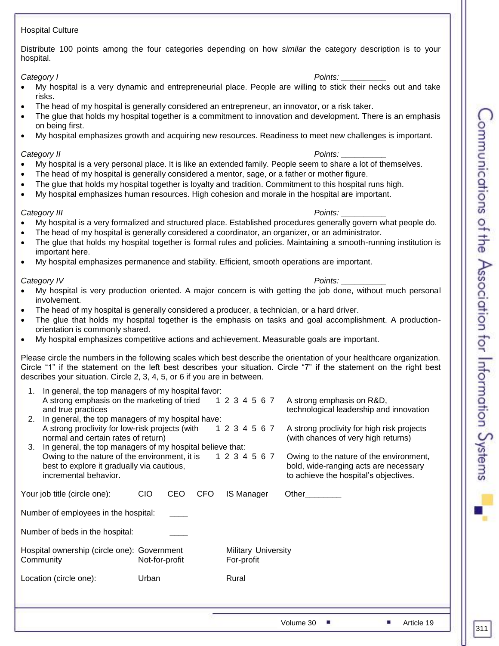### Hospital Culture

Distribute 100 points among the four categories depending on how *similar* the category description is to your hospital.

### *Category I Points: \_\_\_\_\_\_\_\_\_\_*

- My hospital is a very dynamic and entrepreneurial place. People are willing to stick their necks out and take risks.
- The head of my hospital is generally considered an entrepreneur, an innovator, or a risk taker.
- The glue that holds my hospital together is a commitment to innovation and development. There is an emphasis on being first.
- My hospital emphasizes growth and acquiring new resources. Readiness to meet new challenges is important.

### *Category II Points: \_\_\_\_\_\_\_\_\_\_*

- My hospital is a very personal place. It is like an extended family. People seem to share a lot of themselves.
- The head of my hospital is generally considered a mentor, sage, or a father or mother figure.
- The glue that holds my hospital together is loyalty and tradition. Commitment to this hospital runs high.
- My hospital emphasizes human resources. High cohesion and morale in the hospital are important.

### *Category III Points: \_\_\_\_\_\_\_\_\_\_*

- My hospital is a very formalized and structured place. Established procedures generally govern what people do.
	- The head of my hospital is generally considered a coordinator, an organizer, or an administrator.
- The glue that holds my hospital together is formal rules and policies. Maintaining a smooth-running institution is important here.
- My hospital emphasizes permanence and stability. Efficient, smooth operations are important.

### *Category IV Points: \_\_\_\_\_\_\_\_\_\_*

- My hospital is very production oriented. A major concern is with getting the job done, without much personal involvement.
- The head of my hospital is generally considered a producer, a technician, or a hard driver.
- The glue that holds my hospital together is the emphasis on tasks and goal accomplishment. A productionorientation is commonly shared.
- My hospital emphasizes competitive actions and achievement. Measurable goals are important.

Please circle the numbers in the following scales which best describe the orientation of your healthcare organization. Circle "1" if the statement on the left best describes your situation. Circle "7" if the statement on the right best describes your situation. Circle 2, 3, 4, 5, or 6 if you are in between.

|    |                                                                                                                                                                   |                |      |            |            |                            | Volume 30<br>Article 19<br>٠<br>a.                                                                                        |
|----|-------------------------------------------------------------------------------------------------------------------------------------------------------------------|----------------|------|------------|------------|----------------------------|---------------------------------------------------------------------------------------------------------------------------|
|    | Location (circle one):                                                                                                                                            | Urban          |      |            | Rural      |                            |                                                                                                                           |
|    | Hospital ownership (circle one): Government<br>Community                                                                                                          | Not-for-profit |      |            | For-profit | <b>Military University</b> |                                                                                                                           |
|    | Number of beds in the hospital:                                                                                                                                   |                |      |            |            |                            |                                                                                                                           |
|    | Number of employees in the hospital:                                                                                                                              |                |      |            |            |                            |                                                                                                                           |
|    | Your job title (circle one):                                                                                                                                      | <b>CIO</b>     | CEO. | <b>CFO</b> | IS Manager |                            | Other                                                                                                                     |
|    | Owing to the nature of the environment, it is 1 2 3 4 5 6 7<br>best to explore it gradually via cautious,<br>incremental behavior.                                |                |      |            |            |                            | Owing to the nature of the environment,<br>bold, wide-ranging acts are necessary<br>to achieve the hospital's objectives. |
| 3. | A strong proclivity for low-risk projects (with 1 2 3 4 5 6 7<br>normal and certain rates of return)<br>In general, the top managers of my hospital believe that: |                |      |            |            |                            | A strong proclivity for high risk projects<br>(with chances of very high returns)                                         |
| 2. | A strong emphasis on the marketing of tried 1 2 3 4 5 6 7<br>and true practices<br>In general, the top managers of my hospital have:                              |                |      |            |            |                            | A strong emphasis on R&D,<br>technological leadership and innovation                                                      |
| 1. | In general, the top managers of my hospital favor:                                                                                                                |                |      |            |            |                            |                                                                                                                           |

311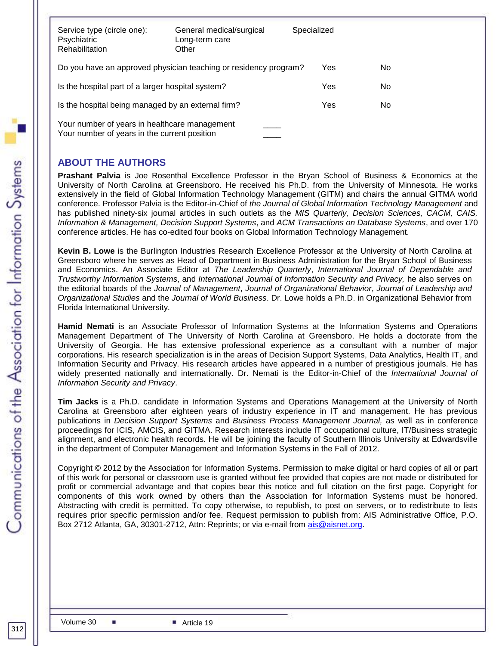| Service type (circle one):<br>Psychiatric<br>Rehabilitation                                   | General medical/surgical<br>Long-term care<br>Other              | Specialized |    |
|-----------------------------------------------------------------------------------------------|------------------------------------------------------------------|-------------|----|
|                                                                                               | Do you have an approved physician teaching or residency program? | Yes         | No |
| Is the hospital part of a larger hospital system?                                             |                                                                  | Yes         | No |
| Is the hospital being managed by an external firm?                                            |                                                                  | Yes         | No |
| Your number of years in healthcare management<br>Your number of years in the current position |                                                                  |             |    |

### **ABOUT THE AUTHORS**

**Prashant Palvia** is Joe Rosenthal Excellence Professor in the Bryan School of Business & Economics at the University of North Carolina at Greensboro. He received his Ph.D. from the University of Minnesota. He works extensively in the field of Global Information Technology Management (GITM) and chairs the annual GITMA world conference. Professor Palvia is the Editor-in-Chief of *the Journal of Global Information Technology Management* and has published ninety-six journal articles in such outlets as the *MIS Quarterly, Decision Sciences, CACM, CAIS, Information & Management, Decision Support Systems*, and *ACM Transactions on Database Systems*, and over 170 conference articles. He has co-edited four books on Global Information Technology Management.

**Kevin B. Lowe** is the Burlington Industries Research Excellence Professor at the University of North Carolina at Greensboro where he serves as Head of Department in Business Administration for the Bryan School of Business and Economics. An Associate Editor at *The Leadership Quarterly*, *International Journal of Dependable and Trustworthy Information Systems*, and *International Journal of Information Security and Privacy,* he also serves on the editorial boards of the *Journal of Management*, *Journal of Organizational Behavior*, *Journal of Leadership and Organizational Studies* and the *Journal of World Business*. Dr. Lowe holds a Ph.D. in Organizational Behavior from Florida International University.

**Hamid Nemati** is an Associate Professor of Information Systems at the Information Systems and Operations Management Department of The University of North Carolina at Greensboro. He holds a doctorate from the University of Georgia. He has extensive professional experience as a consultant with a number of major corporations. His research specialization is in the areas of Decision Support Systems, Data Analytics, Health IT, and Information Security and Privacy. His research articles have appeared in a number of prestigious journals. He has widely presented nationally and internationally. Dr. Nemati is the Editor-in-Chief of the *International Journal of Information Security and Privacy*.

**Tim Jacks** is a Ph.D. candidate in Information Systems and Operations Management at the University of North Carolina at Greensboro after eighteen years of industry experience in IT and management. He has previous publications in *Decision Support Systems* and *Business Process Management Journal,* as well as in conference proceedings for ICIS, AMCIS, and GITMA. Research interests include IT occupational culture, IT/Business strategic alignment, and electronic health records. He will be joining the faculty of Southern Illinois University at Edwardsville in the department of Computer Management and Information Systems in the Fall of 2012.

Copyright © 2012 by the Association for Information Systems. Permission to make digital or hard copies of all or part of this work for personal or classroom use is granted without fee provided that copies are not made or distributed for profit or commercial advantage and that copies bear this notice and full citation on the first page. Copyright for components of this work owned by others than the Association for Information Systems must be honored. Abstracting with credit is permitted. To copy otherwise, to republish, to post on servers, or to redistribute to lists requires prior specific permission and/or fee. Request permission to publish from: AIS Administrative Office, P.O. Box 2712 Atlanta, GA, 30301-2712, Attn: Reprints; or via e-mail from [ais@aisnet.org.](mailto:ais@aisnet.org)